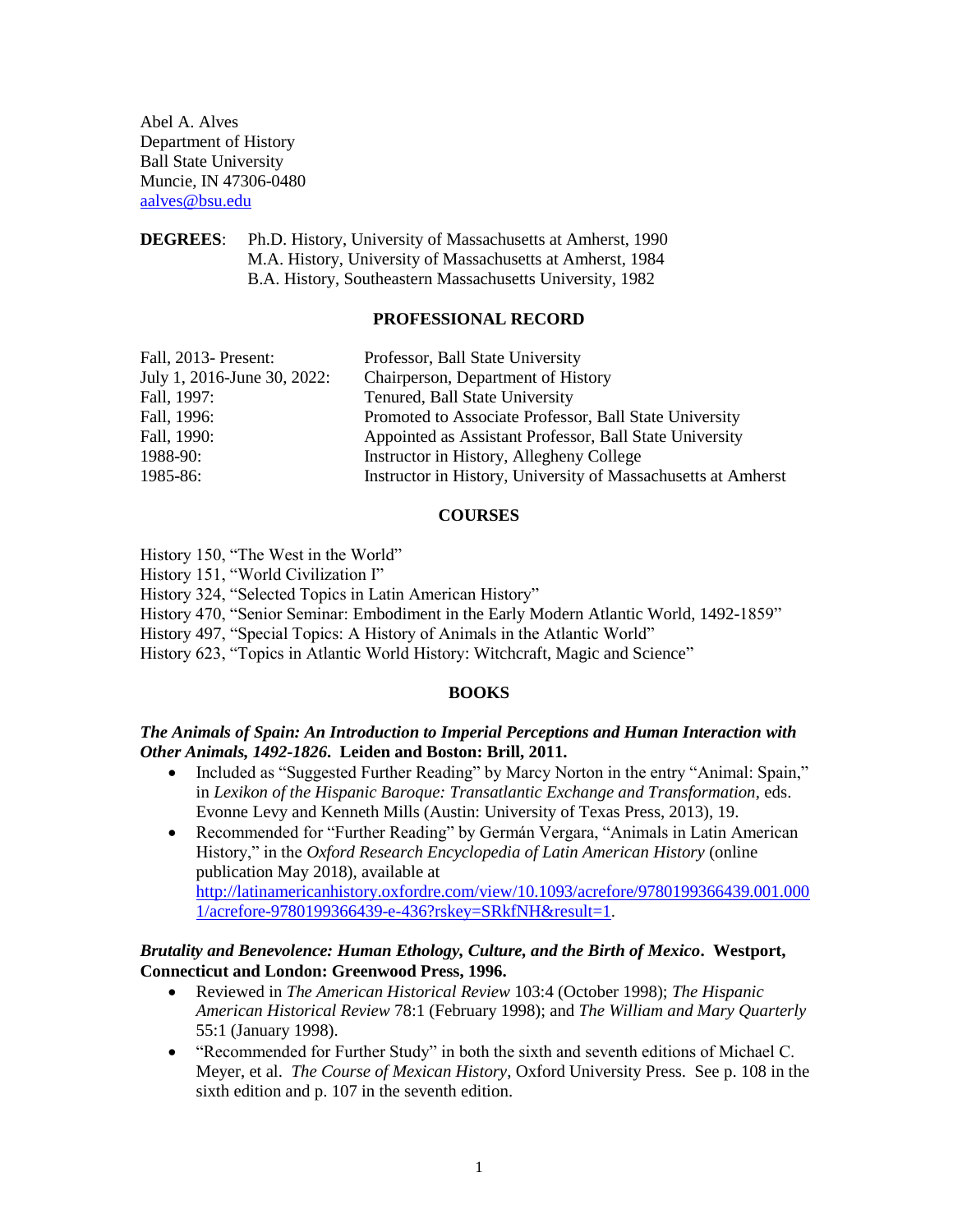Abel A. Alves Department of History Ball State University Muncie, IN 47306-0480 [aalves@bsu.edu](mailto:aalves@bsu.edu)

**DEGREES**: Ph.D. History, University of Massachusetts at Amherst, 1990 M.A. History, University of Massachusetts at Amherst, 1984 B.A. History, Southeastern Massachusetts University, 1982

## **PROFESSIONAL RECORD**

| Fall, 2013- Present:<br>Professor, Ball State University                  |  |
|---------------------------------------------------------------------------|--|
| Chairperson, Department of History<br>July 1, 2016-June 30, 2022:         |  |
| Tenured, Ball State University<br>Fall, 1997:                             |  |
| Promoted to Associate Professor, Ball State University<br>Fall, 1996:     |  |
| Fall, 1990:<br>Appointed as Assistant Professor, Ball State University    |  |
| 1988-90:<br>Instructor in History, Allegheny College                      |  |
| Instructor in History, University of Massachusetts at Amherst<br>1985-86: |  |

## **COURSES**

History 150, "The West in the World"

History 151, "World Civilization I"

History 324, "Selected Topics in Latin American History"

History 470, "Senior Seminar: Embodiment in the Early Modern Atlantic World, 1492-1859"

History 497, "Special Topics: A History of Animals in the Atlantic World"

History 623, "Topics in Atlantic World History: Witchcraft, Magic and Science"

# **BOOKS**

# *The Animals of Spain: An Introduction to Imperial Perceptions and Human Interaction with Other Animals, 1492-1826***. Leiden and Boston: Brill, 2011.**

- Included as "Suggested Further Reading" by Marcy Norton in the entry "Animal: Spain," in *Lexikon of the Hispanic Baroque: Transatlantic Exchange and Transformation*, eds. Evonne Levy and Kenneth Mills (Austin: University of Texas Press, 2013), 19.
- Recommended for "Further Reading" by Germán Vergara, "Animals in Latin American History," in the *Oxford Research Encyclopedia of Latin American History* (online publication May 2018), available at [http://latinamericanhistory.oxfordre.com/view/10.1093/acrefore/9780199366439.001.000](http://latinamericanhistory.oxfordre.com/view/10.1093/acrefore/9780199366439.001.0001/acrefore-9780199366439-e-436?rskey=SRkfNH&result=1) [1/acrefore-9780199366439-e-436?rskey=SRkfNH&result=1.](http://latinamericanhistory.oxfordre.com/view/10.1093/acrefore/9780199366439.001.0001/acrefore-9780199366439-e-436?rskey=SRkfNH&result=1)

# *Brutality and Benevolence: Human Ethology, Culture, and the Birth of Mexico***. Westport, Connecticut and London: Greenwood Press, 1996.**

- Reviewed in *The American Historical Review* 103:4 (October 1998); *The Hispanic American Historical Review* 78:1 (February 1998); and *The William and Mary Quarterly* 55:1 (January 1998).
- "Recommended for Further Study" in both the sixth and seventh editions of Michael C. Meyer, et al. *The Course of Mexican History*, Oxford University Press. See p. 108 in the sixth edition and p. 107 in the seventh edition.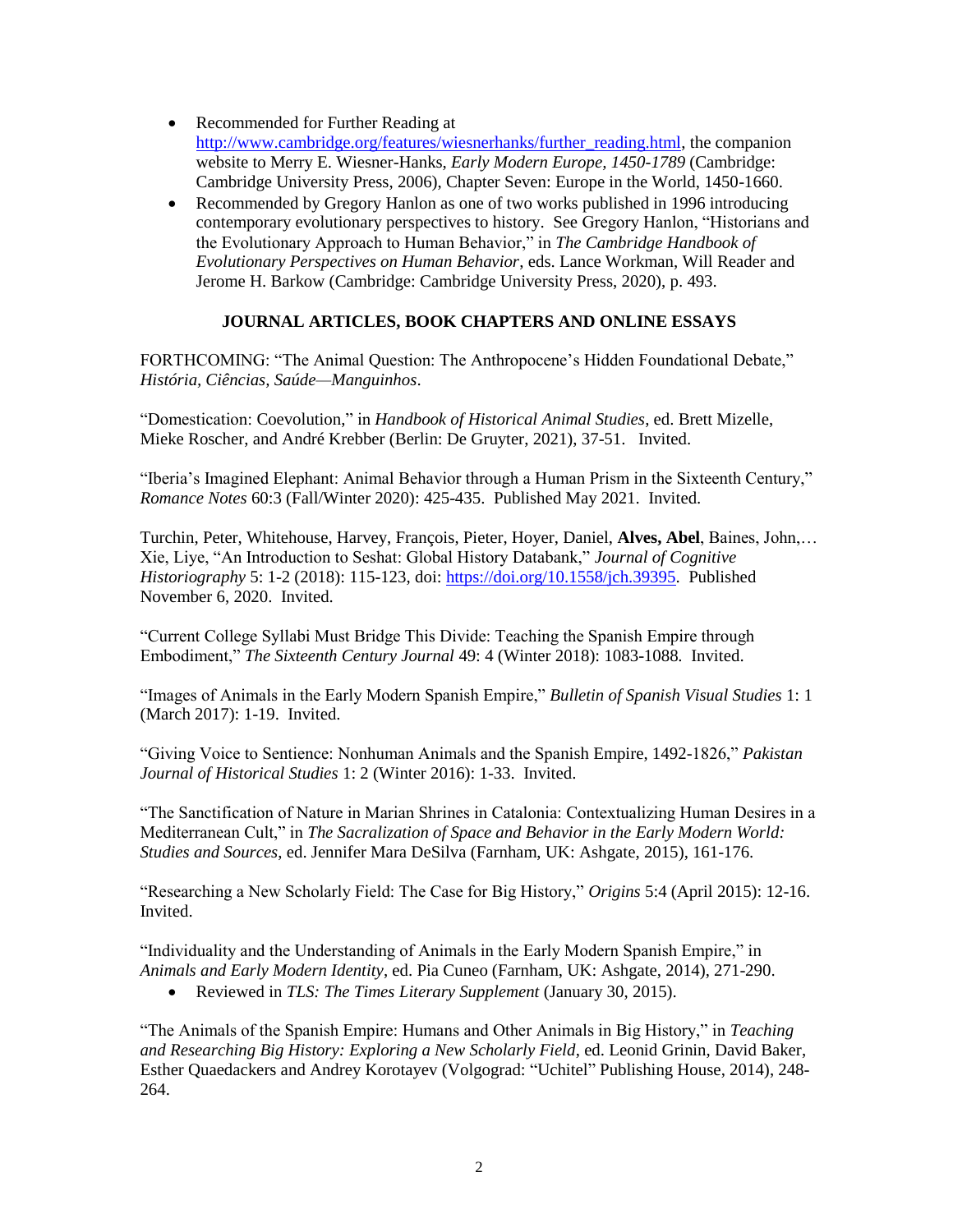- Recommended for Further Reading at [http://www.cambridge.org/features/wiesnerhanks/further\\_reading.html,](http://www.cambridge.org/features/wiesnerhanks/further_reading.html) the companion website to Merry E. Wiesner-Hanks, *Early Modern Europe, 1450-1789* (Cambridge: Cambridge University Press, 2006), Chapter Seven: Europe in the World, 1450-1660.
- Recommended by Gregory Hanlon as one of two works published in 1996 introducing contemporary evolutionary perspectives to history. See Gregory Hanlon, "Historians and the Evolutionary Approach to Human Behavior," in *The Cambridge Handbook of Evolutionary Perspectives on Human Behavior*, eds. Lance Workman, Will Reader and Jerome H. Barkow (Cambridge: Cambridge University Press, 2020), p. 493.

# **JOURNAL ARTICLES, BOOK CHAPTERS AND ONLINE ESSAYS**

FORTHCOMING: "The Animal Question: The Anthropocene's Hidden Foundational Debate," *História, Ciências, Saúde—Manguinhos*.

"Domestication: Coevolution," in *Handbook of Historical Animal Studies*, ed. Brett Mizelle, Mieke Roscher, and André Krebber (Berlin: De Gruyter, 2021), 37-51. Invited.

"Iberia's Imagined Elephant: Animal Behavior through a Human Prism in the Sixteenth Century," *Romance Notes* 60:3 (Fall/Winter 2020): 425-435. Published May 2021. Invited.

Turchin, Peter, Whitehouse, Harvey, François, Pieter, Hoyer, Daniel, **Alves, Abel**, Baines, John,… Xie, Liye, "An Introduction to Seshat: Global History Databank," *Journal of Cognitive Historiography* 5: 1-2 (2018): 115-123, doi: [https://doi.org/10.1558/jch.39395.](https://doi.org/10.1558/jch.39395) Published November 6, 2020. Invited.

"Current College Syllabi Must Bridge This Divide: Teaching the Spanish Empire through Embodiment," *The Sixteenth Century Journal* 49: 4 (Winter 2018): 1083-1088*.* Invited.

"Images of Animals in the Early Modern Spanish Empire," *Bulletin of Spanish Visual Studies* 1: 1 (March 2017): 1-19. Invited.

"Giving Voice to Sentience: Nonhuman Animals and the Spanish Empire, 1492-1826," *Pakistan Journal of Historical Studies* 1: 2 (Winter 2016): 1-33. Invited.

"The Sanctification of Nature in Marian Shrines in Catalonia: Contextualizing Human Desires in a Mediterranean Cult," in *The Sacralization of Space and Behavior in the Early Modern World: Studies and Sources*, ed. Jennifer Mara DeSilva (Farnham, UK: Ashgate, 2015), 161-176.

"Researching a New Scholarly Field: The Case for Big History," *Origins* 5:4 (April 2015): 12-16. Invited.

"Individuality and the Understanding of Animals in the Early Modern Spanish Empire," in *Animals and Early Modern Identity*, ed. Pia Cuneo (Farnham, UK: Ashgate, 2014), 271-290.

Reviewed in *TLS: The Times Literary Supplement* (January 30, 2015).

"The Animals of the Spanish Empire: Humans and Other Animals in Big History," in *Teaching and Researching Big History: Exploring a New Scholarly Field*, ed. Leonid Grinin, David Baker, Esther Quaedackers and Andrey Korotayev (Volgograd: "Uchitel" Publishing House, 2014), 248- 264.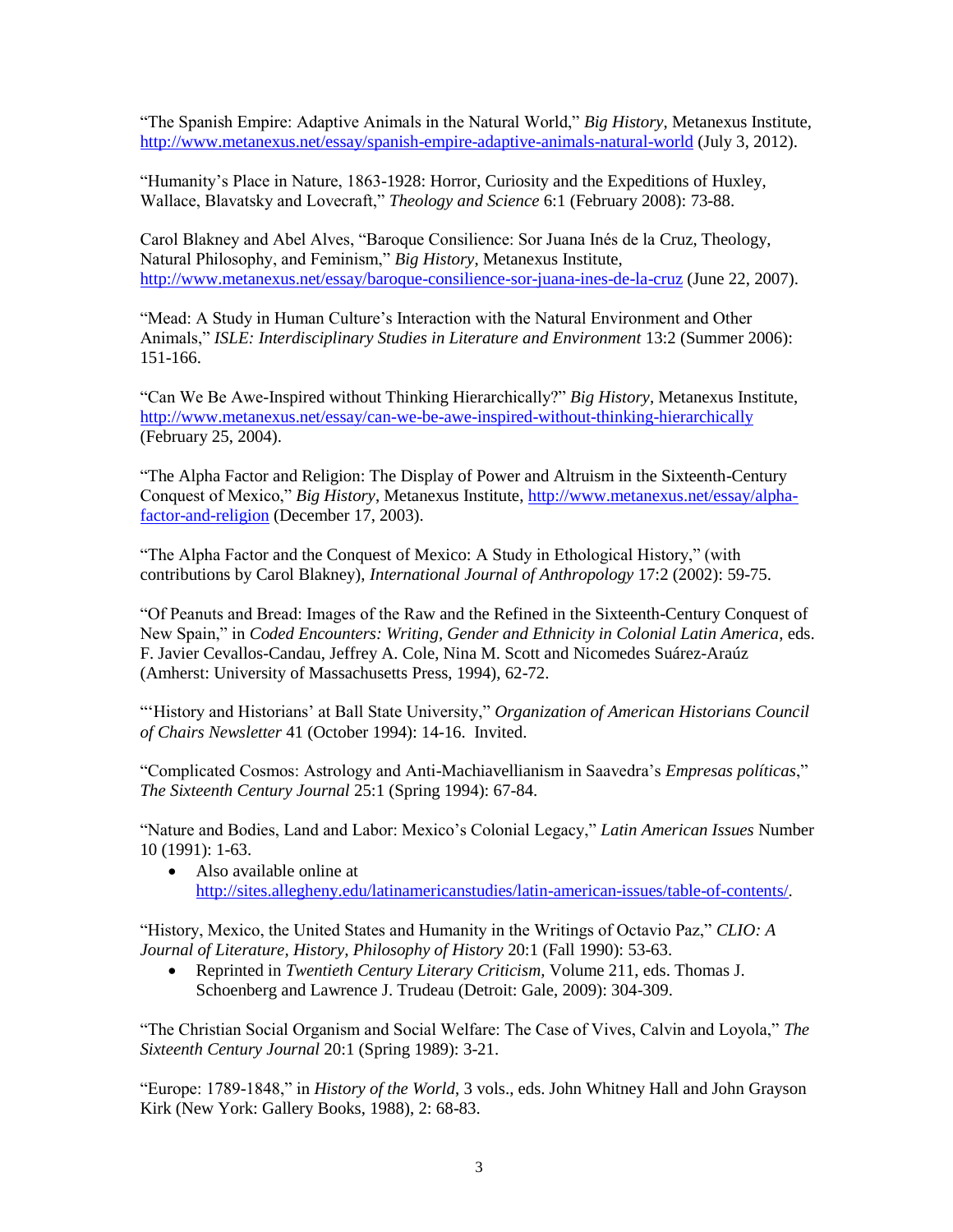"The Spanish Empire: Adaptive Animals in the Natural World," *Big History*, Metanexus Institute, <http://www.metanexus.net/essay/spanish-empire-adaptive-animals-natural-world> (July 3, 2012).

"Humanity's Place in Nature, 1863-1928: Horror, Curiosity and the Expeditions of Huxley, Wallace, Blavatsky and Lovecraft," *Theology and Science* 6:1 (February 2008): 73-88.

Carol Blakney and Abel Alves, "Baroque Consilience: Sor Juana Inés de la Cruz, Theology, Natural Philosophy, and Feminism," *Big History*, Metanexus Institute, <http://www.metanexus.net/essay/baroque-consilience-sor-juana-ines-de-la-cruz> (June 22, 2007).

"Mead: A Study in Human Culture's Interaction with the Natural Environment and Other Animals," *ISLE: Interdisciplinary Studies in Literature and Environment* 13:2 (Summer 2006): 151-166.

"Can We Be Awe-Inspired without Thinking Hierarchically?" *Big History*, Metanexus Institute, <http://www.metanexus.net/essay/can-we-be-awe-inspired-without-thinking-hierarchically> (February 25, 2004).

"The Alpha Factor and Religion: The Display of Power and Altruism in the Sixteenth-Century Conquest of Mexico," *Big History*, Metanexus Institute, [http://www.metanexus.net/essay/alpha](http://www.metanexus.net/essay/alpha-factor-and-religion)[factor-and-religion](http://www.metanexus.net/essay/alpha-factor-and-religion) (December 17, 2003).

"The Alpha Factor and the Conquest of Mexico: A Study in Ethological History," (with contributions by Carol Blakney), *International Journal of Anthropology* 17:2 (2002): 59-75.

"Of Peanuts and Bread: Images of the Raw and the Refined in the Sixteenth-Century Conquest of New Spain," in *Coded Encounters: Writing, Gender and Ethnicity in Colonial Latin America*, eds. F. Javier Cevallos-Candau, Jeffrey A. Cole, Nina M. Scott and Nicomedes Suárez-Araúz (Amherst: University of Massachusetts Press, 1994), 62-72.

"'History and Historians' at Ball State University," *Organization of American Historians Council of Chairs Newsletter* 41 (October 1994): 14-16. Invited.

"Complicated Cosmos: Astrology and Anti-Machiavellianism in Saavedra's *Empresas políticas*," *The Sixteenth Century Journal* 25:1 (Spring 1994): 67-84.

"Nature and Bodies, Land and Labor: Mexico's Colonial Legacy," *Latin American Issues* Number 10 (1991): 1-63.

• Also available online at [http://sites.allegheny.edu/latinamericanstudies/latin-american-issues/table-of-contents/.](http://sites.allegheny.edu/latinamericanstudies/latin-american-issues/table-of-contents/)

"History, Mexico, the United States and Humanity in the Writings of Octavio Paz," *CLIO: A Journal of Literature, History, Philosophy of History* 20:1 (Fall 1990): 53-63.

 Reprinted in *Twentieth Century Literary Criticism,* Volume 211, eds. Thomas J. Schoenberg and Lawrence J. Trudeau (Detroit: Gale, 2009): 304-309.

"The Christian Social Organism and Social Welfare: The Case of Vives, Calvin and Loyola," *The Sixteenth Century Journal* 20:1 (Spring 1989): 3-21.

"Europe: 1789-1848," in *History of the World*, 3 vols., eds. John Whitney Hall and John Grayson Kirk (New York: Gallery Books, 1988), 2: 68-83.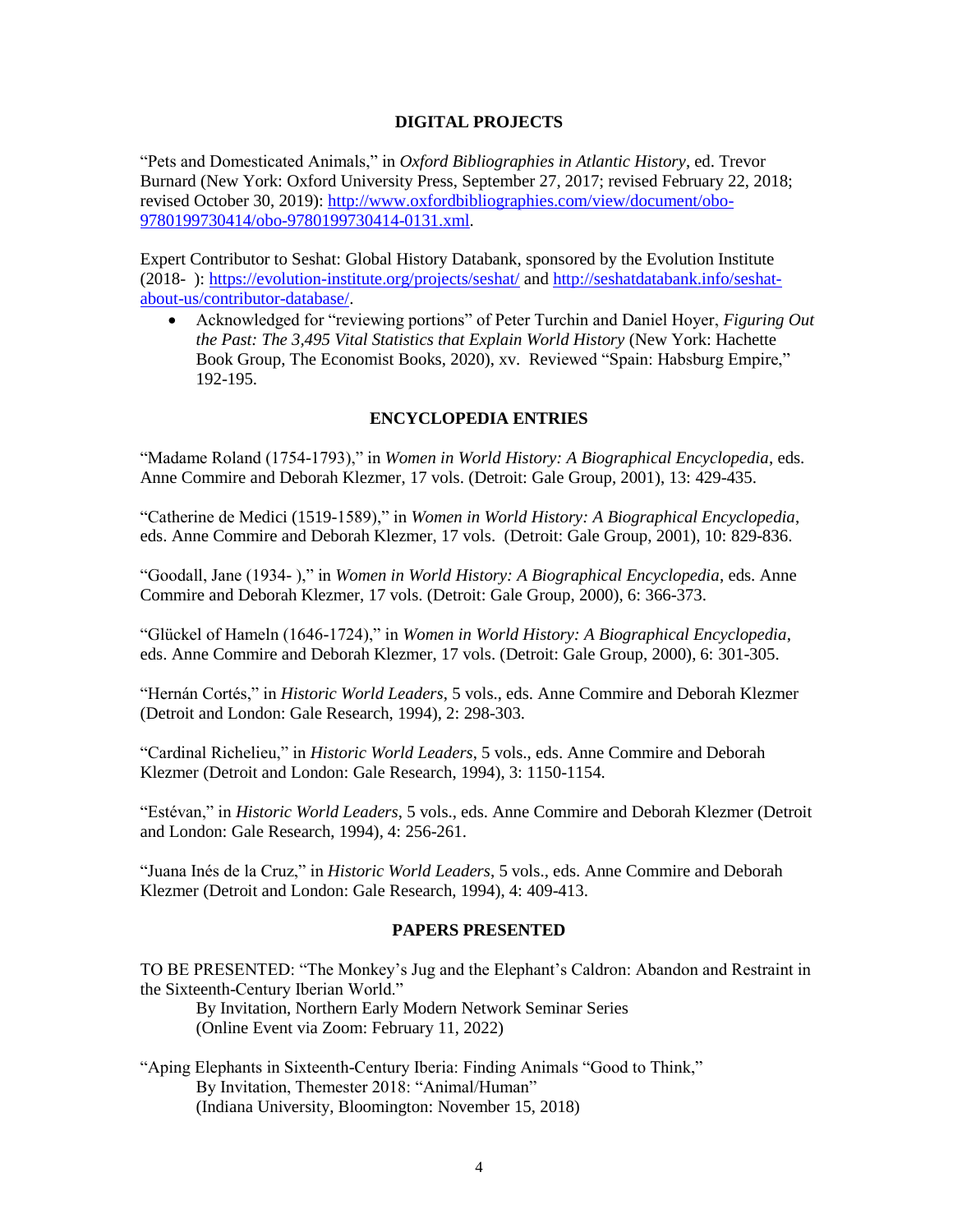## **DIGITAL PROJECTS**

"Pets and Domesticated Animals," in *Oxford Bibliographies in Atlantic History*, ed. Trevor Burnard (New York: Oxford University Press, September 27, 2017; revised February 22, 2018; revised October 30, 2019): [http://www.oxfordbibliographies.com/view/document/obo-](http://www.oxfordbibliographies.com/view/document/obo-9780199730414/obo-9780199730414-0131.xml)[9780199730414/obo-9780199730414-0131.xml.](http://www.oxfordbibliographies.com/view/document/obo-9780199730414/obo-9780199730414-0131.xml)

Expert Contributor to Seshat: Global History Databank, sponsored by the Evolution Institute (2018- ):<https://evolution-institute.org/projects/seshat/> and [http://seshatdatabank.info/seshat](http://seshatdatabank.info/seshat-about-us/contributor-database/)[about-us/contributor-database/.](http://seshatdatabank.info/seshat-about-us/contributor-database/)

 Acknowledged for "reviewing portions" of Peter Turchin and Daniel Hoyer, *Figuring Out the Past: The 3,495 Vital Statistics that Explain World History* (New York: Hachette Book Group, The Economist Books, 2020), xv. Reviewed "Spain: Habsburg Empire," 192-195.

# **ENCYCLOPEDIA ENTRIES**

"Madame Roland (1754-1793)," in *Women in World History: A Biographical Encyclopedia*, eds. Anne Commire and Deborah Klezmer, 17 vols. (Detroit: Gale Group, 2001), 13: 429-435.

"Catherine de Medici (1519-1589)," in *Women in World History: A Biographical Encyclopedia*, eds. Anne Commire and Deborah Klezmer, 17 vols. (Detroit: Gale Group, 2001), 10: 829-836.

"Goodall, Jane (1934- )," in *Women in World History: A Biographical Encyclopedia*, eds. Anne Commire and Deborah Klezmer, 17 vols. (Detroit: Gale Group, 2000), 6: 366-373.

"Glückel of Hameln (1646-1724)," in *Women in World History: A Biographical Encyclopedia*, eds. Anne Commire and Deborah Klezmer, 17 vols. (Detroit: Gale Group, 2000), 6: 301-305.

"Hernán Cortés," in *Historic World Leaders*, 5 vols., eds. Anne Commire and Deborah Klezmer (Detroit and London: Gale Research, 1994), 2: 298-303.

"Cardinal Richelieu," in *Historic World Leaders*, 5 vols., eds. Anne Commire and Deborah Klezmer (Detroit and London: Gale Research, 1994), 3: 1150-1154.

"Estévan," in *Historic World Leaders*, 5 vols., eds. Anne Commire and Deborah Klezmer (Detroit and London: Gale Research, 1994), 4: 256-261.

"Juana Inés de la Cruz," in *Historic World Leaders*, 5 vols., eds. Anne Commire and Deborah Klezmer (Detroit and London: Gale Research, 1994), 4: 409-413.

# **PAPERS PRESENTED**

TO BE PRESENTED: "The Monkey's Jug and the Elephant's Caldron: Abandon and Restraint in the Sixteenth-Century Iberian World."

By Invitation, Northern Early Modern Network Seminar Series (Online Event via Zoom: February 11, 2022)

"Aping Elephants in Sixteenth-Century Iberia: Finding Animals "Good to Think," By Invitation, Themester 2018: "Animal/Human" (Indiana University, Bloomington: November 15, 2018)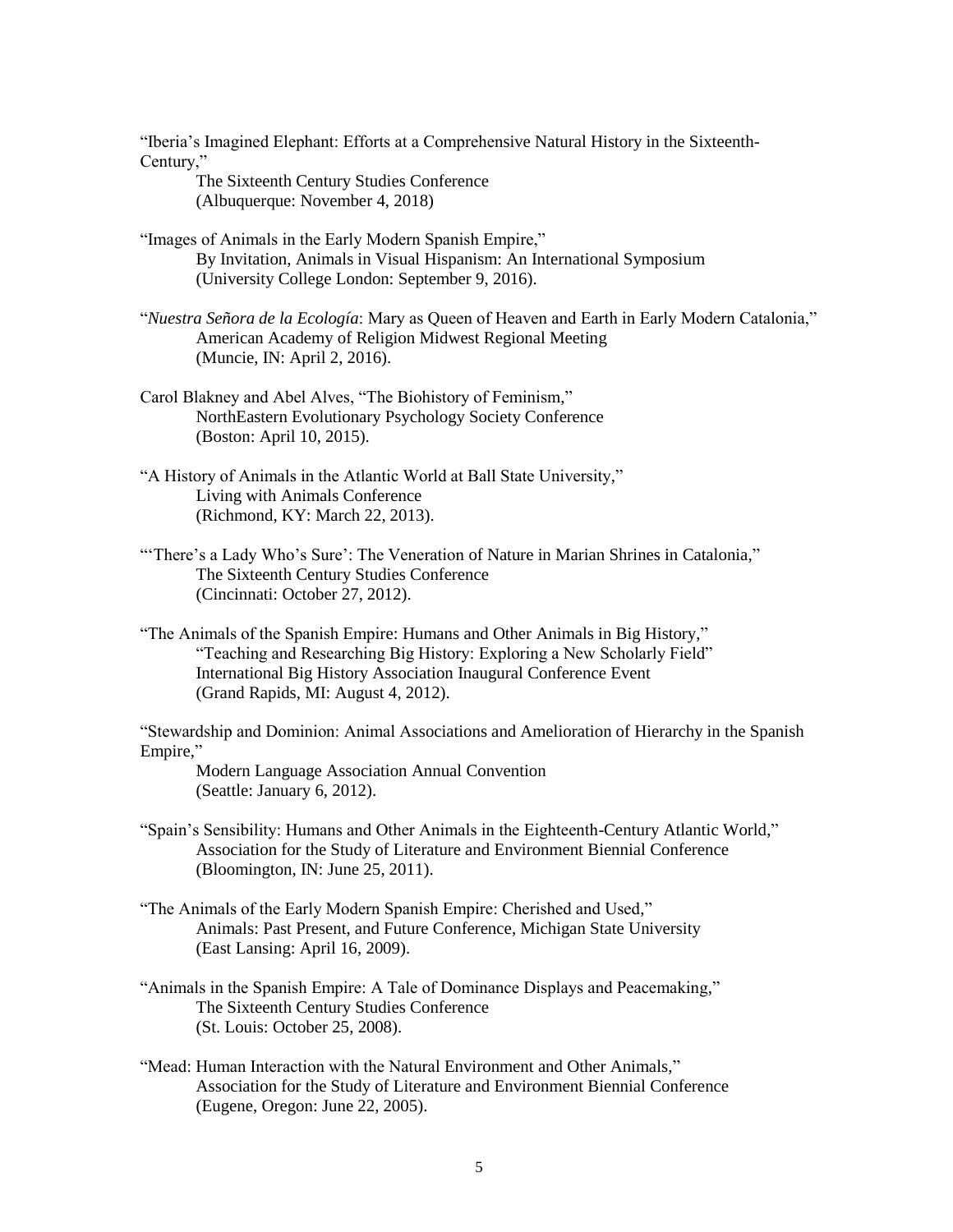"Iberia's Imagined Elephant: Efforts at a Comprehensive Natural History in the Sixteenth-Century,"

The Sixteenth Century Studies Conference (Albuquerque: November 4, 2018)

"Images of Animals in the Early Modern Spanish Empire," By Invitation, Animals in Visual Hispanism: An International Symposium (University College London: September 9, 2016).

"*Nuestra Señora de la Ecología*: Mary as Queen of Heaven and Earth in Early Modern Catalonia," American Academy of Religion Midwest Regional Meeting (Muncie, IN: April 2, 2016).

Carol Blakney and Abel Alves, "The Biohistory of Feminism," NorthEastern Evolutionary Psychology Society Conference (Boston: April 10, 2015).

"A History of Animals in the Atlantic World at Ball State University," Living with Animals Conference (Richmond, KY: March 22, 2013).

"There's a Lady Who's Sure': The Veneration of Nature in Marian Shrines in Catalonia," The Sixteenth Century Studies Conference (Cincinnati: October 27, 2012).

"The Animals of the Spanish Empire: Humans and Other Animals in Big History," "Teaching and Researching Big History: Exploring a New Scholarly Field" International Big History Association Inaugural Conference Event (Grand Rapids, MI: August 4, 2012).

"Stewardship and Dominion: Animal Associations and Amelioration of Hierarchy in the Spanish Empire,"

Modern Language Association Annual Convention (Seattle: January 6, 2012).

"Spain's Sensibility: Humans and Other Animals in the Eighteenth-Century Atlantic World," Association for the Study of Literature and Environment Biennial Conference (Bloomington, IN: June 25, 2011).

"The Animals of the Early Modern Spanish Empire: Cherished and Used," Animals: Past Present, and Future Conference, Michigan State University (East Lansing: April 16, 2009).

"Animals in the Spanish Empire: A Tale of Dominance Displays and Peacemaking," The Sixteenth Century Studies Conference (St. Louis: October 25, 2008).

"Mead: Human Interaction with the Natural Environment and Other Animals," Association for the Study of Literature and Environment Biennial Conference (Eugene, Oregon: June 22, 2005).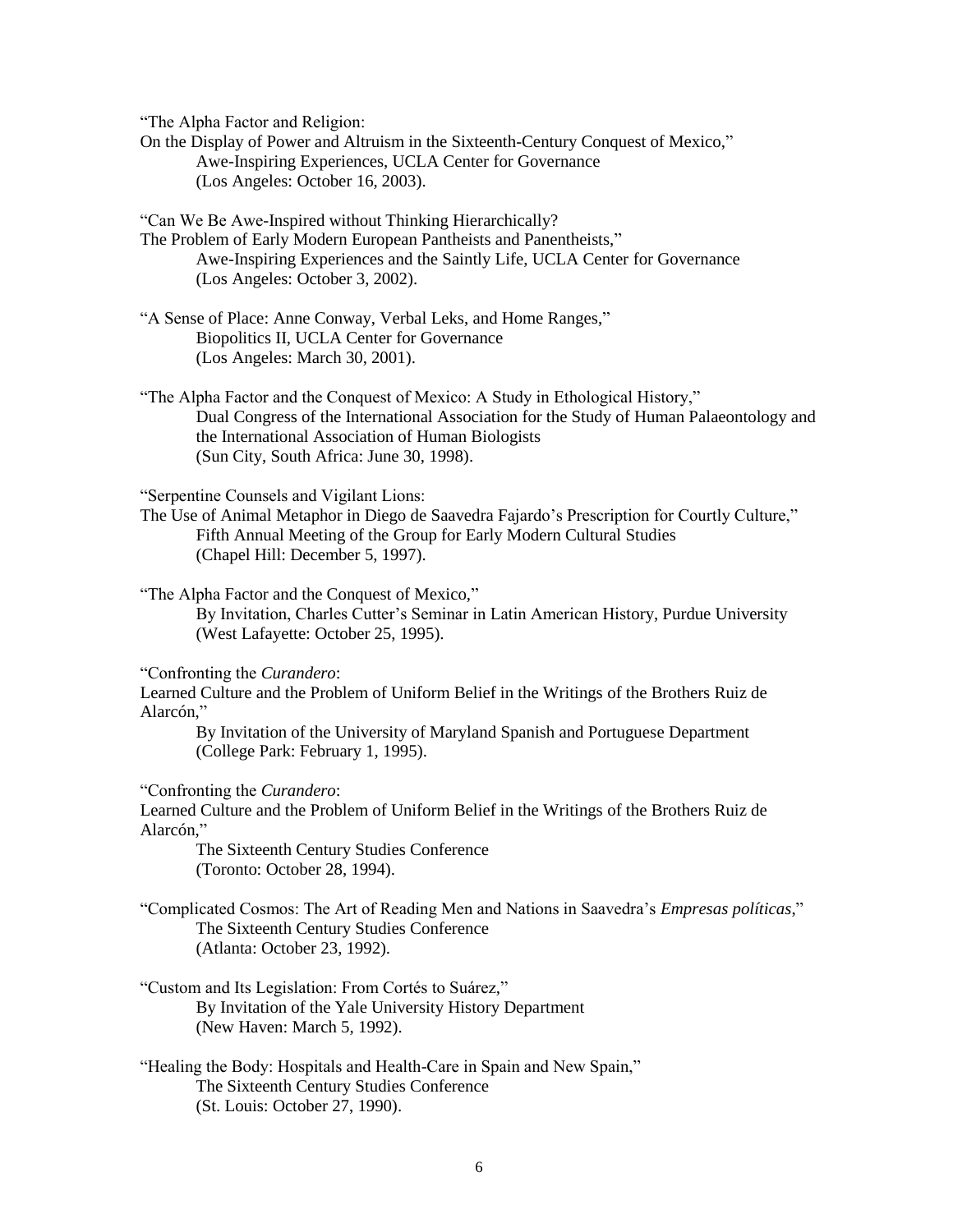"The Alpha Factor and Religion:

On the Display of Power and Altruism in the Sixteenth-Century Conquest of Mexico," Awe-Inspiring Experiences, UCLA Center for Governance (Los Angeles: October 16, 2003).

"Can We Be Awe-Inspired without Thinking Hierarchically?

The Problem of Early Modern European Pantheists and Panentheists," Awe-Inspiring Experiences and the Saintly Life, UCLA Center for Governance (Los Angeles: October 3, 2002).

"A Sense of Place: Anne Conway, Verbal Leks, and Home Ranges," Biopolitics II, UCLA Center for Governance (Los Angeles: March 30, 2001).

"The Alpha Factor and the Conquest of Mexico: A Study in Ethological History," Dual Congress of the International Association for the Study of Human Palaeontology and the International Association of Human Biologists (Sun City, South Africa: June 30, 1998).

"Serpentine Counsels and Vigilant Lions:

The Use of Animal Metaphor in Diego de Saavedra Fajardo's Prescription for Courtly Culture," Fifth Annual Meeting of the Group for Early Modern Cultural Studies (Chapel Hill: December 5, 1997).

"The Alpha Factor and the Conquest of Mexico," By Invitation, Charles Cutter's Seminar in Latin American History, Purdue University (West Lafayette: October 25, 1995).

"Confronting the *Curandero*:

Learned Culture and the Problem of Uniform Belief in the Writings of the Brothers Ruiz de Alarcón,"

By Invitation of the University of Maryland Spanish and Portuguese Department (College Park: February 1, 1995).

"Confronting the *Curandero*:

Learned Culture and the Problem of Uniform Belief in the Writings of the Brothers Ruiz de Alarcón,"

The Sixteenth Century Studies Conference (Toronto: October 28, 1994).

"Complicated Cosmos: The Art of Reading Men and Nations in Saavedra's *Empresas políticas*," The Sixteenth Century Studies Conference (Atlanta: October 23, 1992).

- "Custom and Its Legislation: From Cortés to Suárez," By Invitation of the Yale University History Department (New Haven: March 5, 1992).
- "Healing the Body: Hospitals and Health-Care in Spain and New Spain," The Sixteenth Century Studies Conference (St. Louis: October 27, 1990).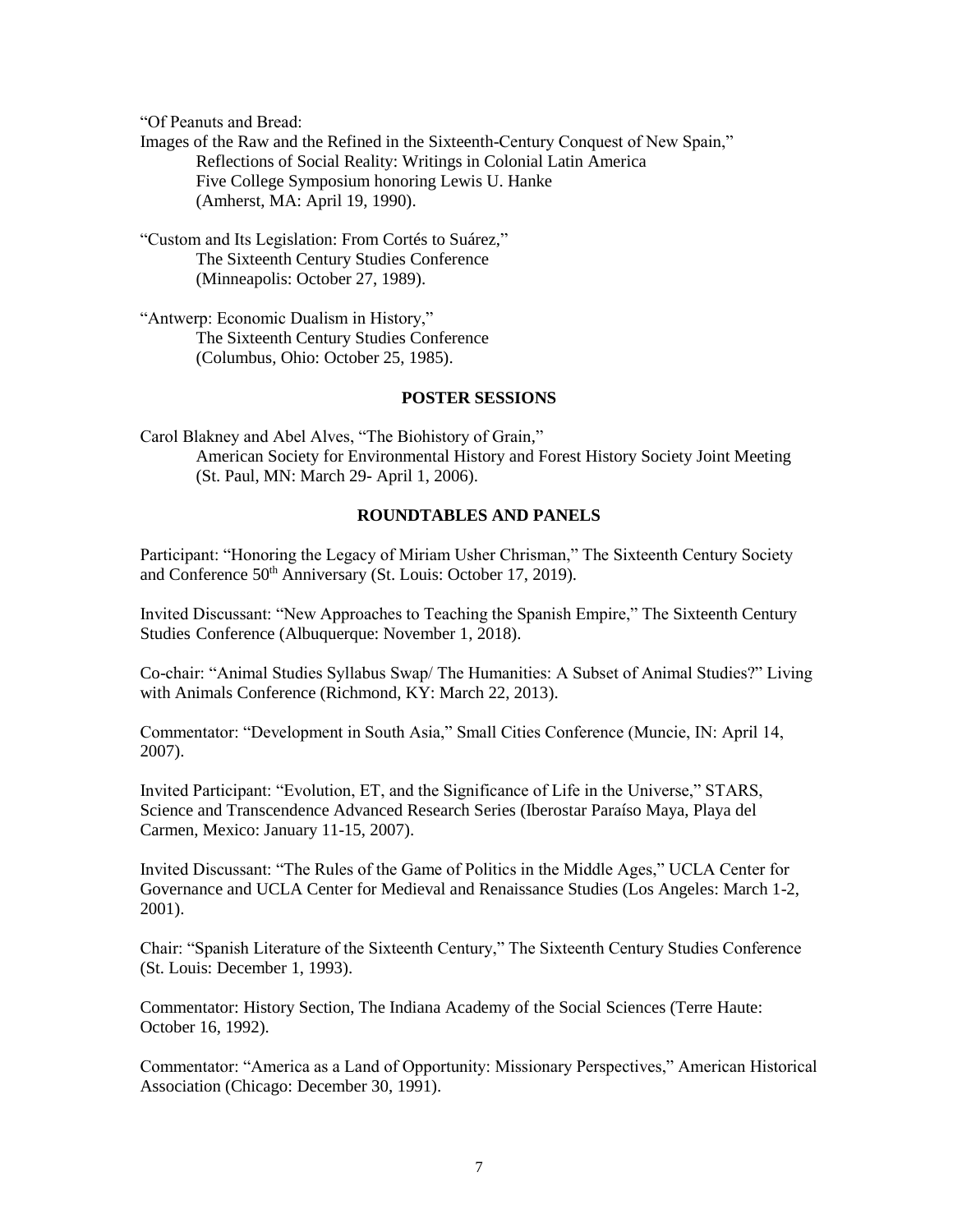"Of Peanuts and Bread:

Images of the Raw and the Refined in the Sixteenth-Century Conquest of New Spain," Reflections of Social Reality: Writings in Colonial Latin America Five College Symposium honoring Lewis U. Hanke (Amherst, MA: April 19, 1990).

"Custom and Its Legislation: From Cortés to Suárez," The Sixteenth Century Studies Conference (Minneapolis: October 27, 1989).

"Antwerp: Economic Dualism in History," The Sixteenth Century Studies Conference (Columbus, Ohio: October 25, 1985).

## **POSTER SESSIONS**

Carol Blakney and Abel Alves, "The Biohistory of Grain," American Society for Environmental History and Forest History Society Joint Meeting (St. Paul, MN: March 29- April 1, 2006).

# **ROUNDTABLES AND PANELS**

Participant: "Honoring the Legacy of Miriam Usher Chrisman," The Sixteenth Century Society and Conference 50<sup>th</sup> Anniversary (St. Louis: October 17, 2019).

Invited Discussant: "New Approaches to Teaching the Spanish Empire," The Sixteenth Century Studies Conference (Albuquerque: November 1, 2018).

Co-chair: "Animal Studies Syllabus Swap/ The Humanities: A Subset of Animal Studies?" Living with Animals Conference (Richmond, KY: March 22, 2013).

Commentator: "Development in South Asia," Small Cities Conference (Muncie, IN: April 14, 2007).

Invited Participant: "Evolution, ET, and the Significance of Life in the Universe," STARS, Science and Transcendence Advanced Research Series (Iberostar Paraíso Maya, Playa del Carmen, Mexico: January 11-15, 2007).

Invited Discussant: "The Rules of the Game of Politics in the Middle Ages," UCLA Center for Governance and UCLA Center for Medieval and Renaissance Studies (Los Angeles: March 1-2, 2001).

Chair: "Spanish Literature of the Sixteenth Century," The Sixteenth Century Studies Conference (St. Louis: December 1, 1993).

Commentator: History Section, The Indiana Academy of the Social Sciences (Terre Haute: October 16, 1992).

Commentator: "America as a Land of Opportunity: Missionary Perspectives," American Historical Association (Chicago: December 30, 1991).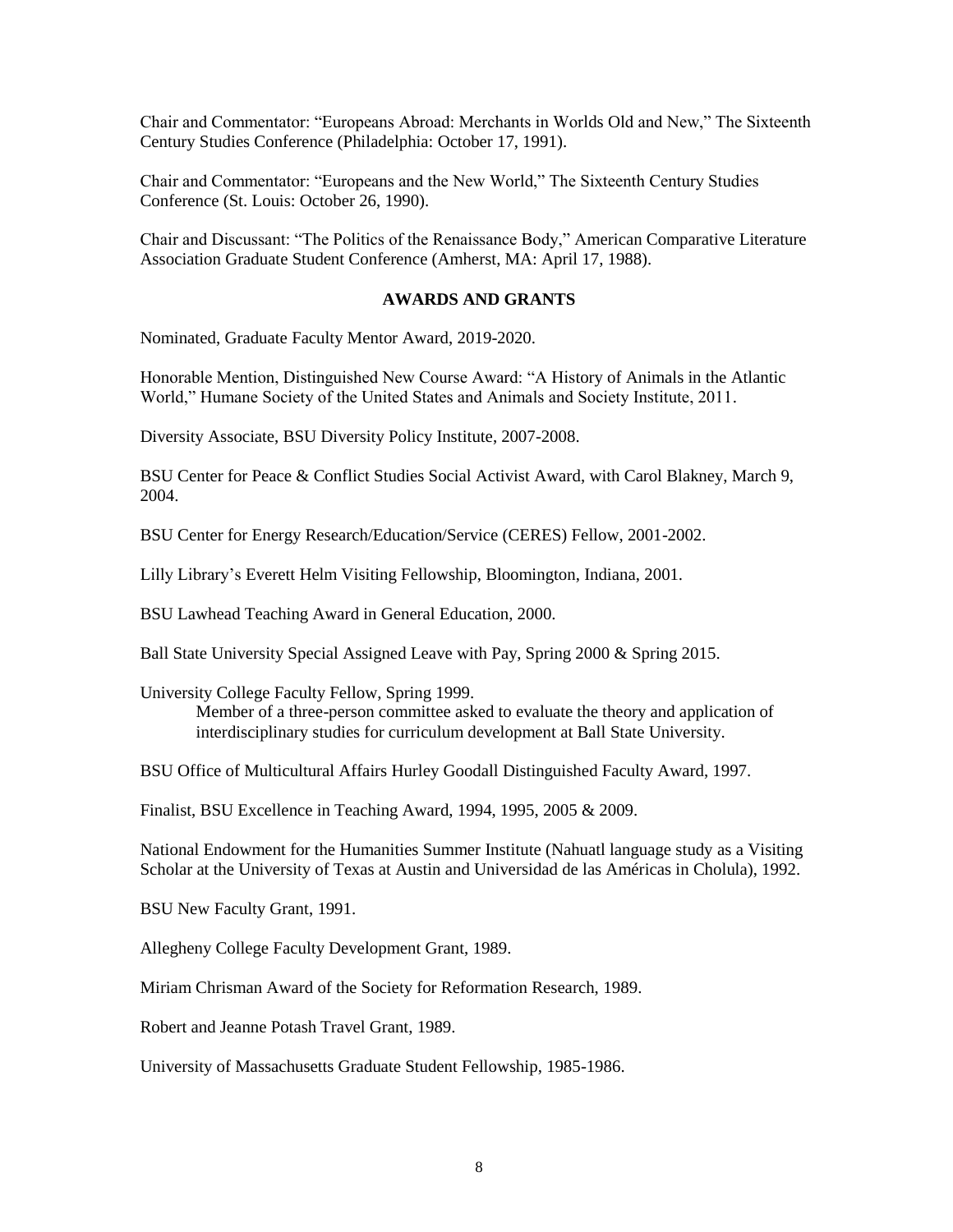Chair and Commentator: "Europeans Abroad: Merchants in Worlds Old and New," The Sixteenth Century Studies Conference (Philadelphia: October 17, 1991).

Chair and Commentator: "Europeans and the New World," The Sixteenth Century Studies Conference (St. Louis: October 26, 1990).

Chair and Discussant: "The Politics of the Renaissance Body," American Comparative Literature Association Graduate Student Conference (Amherst, MA: April 17, 1988).

# **AWARDS AND GRANTS**

Nominated, Graduate Faculty Mentor Award, 2019-2020.

Honorable Mention, Distinguished New Course Award: "A History of Animals in the Atlantic World," Humane Society of the United States and Animals and Society Institute, 2011.

Diversity Associate, BSU Diversity Policy Institute, 2007-2008.

BSU Center for Peace & Conflict Studies Social Activist Award, with Carol Blakney, March 9, 2004.

BSU Center for Energy Research/Education/Service (CERES) Fellow, 2001-2002.

Lilly Library's Everett Helm Visiting Fellowship, Bloomington, Indiana, 2001.

BSU Lawhead Teaching Award in General Education, 2000.

Ball State University Special Assigned Leave with Pay, Spring 2000 & Spring 2015.

University College Faculty Fellow, Spring 1999.

Member of a three-person committee asked to evaluate the theory and application of interdisciplinary studies for curriculum development at Ball State University.

BSU Office of Multicultural Affairs Hurley Goodall Distinguished Faculty Award, 1997.

Finalist, BSU Excellence in Teaching Award, 1994, 1995, 2005 & 2009.

National Endowment for the Humanities Summer Institute (Nahuatl language study as a Visiting Scholar at the University of Texas at Austin and Universidad de las Américas in Cholula), 1992.

BSU New Faculty Grant, 1991.

Allegheny College Faculty Development Grant, 1989.

Miriam Chrisman Award of the Society for Reformation Research, 1989.

Robert and Jeanne Potash Travel Grant, 1989.

University of Massachusetts Graduate Student Fellowship, 1985-1986.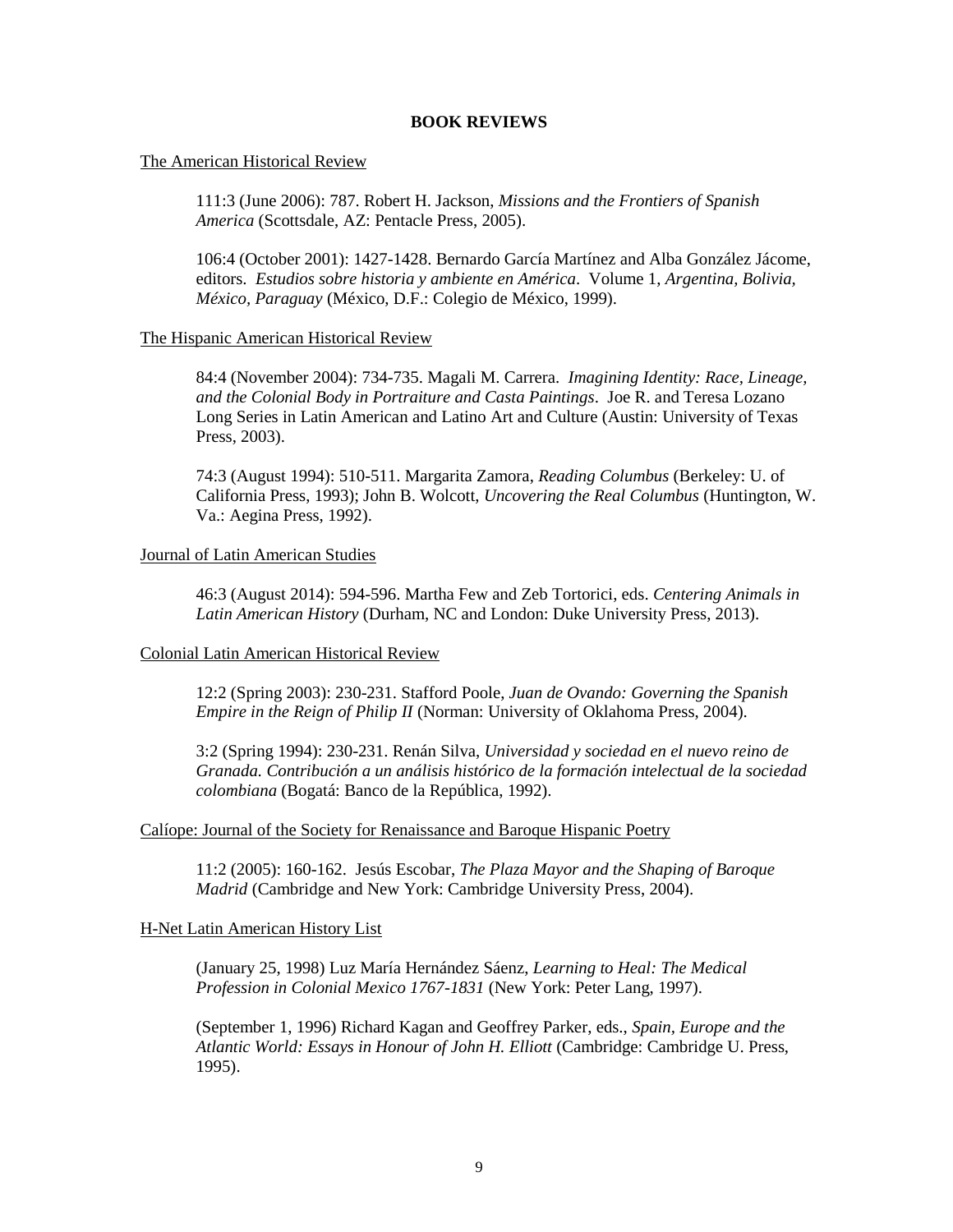### **BOOK REVIEWS**

### The American Historical Review

111:3 (June 2006): 787. Robert H. Jackson, *Missions and the Frontiers of Spanish America* (Scottsdale, AZ: Pentacle Press, 2005).

106:4 (October 2001): 1427-1428. Bernardo García Martínez and Alba González Jácome, editors. *Estudios sobre historia y ambiente en América*. Volume 1, *Argentina, Bolivia, México, Paraguay* (México, D.F.: Colegio de México, 1999).

#### The Hispanic American Historical Review

84:4 (November 2004): 734-735. Magali M. Carrera. *Imagining Identity: Race, Lineage, and the Colonial Body in Portraiture and Casta Paintings*. Joe R. and Teresa Lozano Long Series in Latin American and Latino Art and Culture (Austin: University of Texas Press, 2003).

74:3 (August 1994): 510-511. Margarita Zamora, *Reading Columbus* (Berkeley: U. of California Press, 1993); John B. Wolcott, *Uncovering the Real Columbus* (Huntington, W. Va.: Aegina Press, 1992).

#### Journal of Latin American Studies

46:3 (August 2014): 594-596. Martha Few and Zeb Tortorici, eds. *Centering Animals in Latin American History* (Durham, NC and London: Duke University Press, 2013).

### Colonial Latin American Historical Review

12:2 (Spring 2003): 230-231. Stafford Poole, *Juan de Ovando: Governing the Spanish Empire in the Reign of Philip II* (Norman: University of Oklahoma Press, 2004).

3:2 (Spring 1994): 230-231. Renán Silva, *Universidad y sociedad en el nuevo reino de Granada. Contribución a un análisis histórico de la formación intelectual de la sociedad colombiana* (Bogatá: Banco de la República, 1992).

#### Calíope: Journal of the Society for Renaissance and Baroque Hispanic Poetry

11:2 (2005): 160-162. Jesús Escobar, *The Plaza Mayor and the Shaping of Baroque Madrid* (Cambridge and New York: Cambridge University Press, 2004).

#### H-Net Latin American History List

(January 25, 1998) Luz María Hernández Sáenz, *Learning to Heal: The Medical Profession in Colonial Mexico 1767-1831* (New York: Peter Lang, 1997).

(September 1, 1996) Richard Kagan and Geoffrey Parker, eds., *Spain, Europe and the Atlantic World: Essays in Honour of John H. Elliott* (Cambridge: Cambridge U. Press, 1995).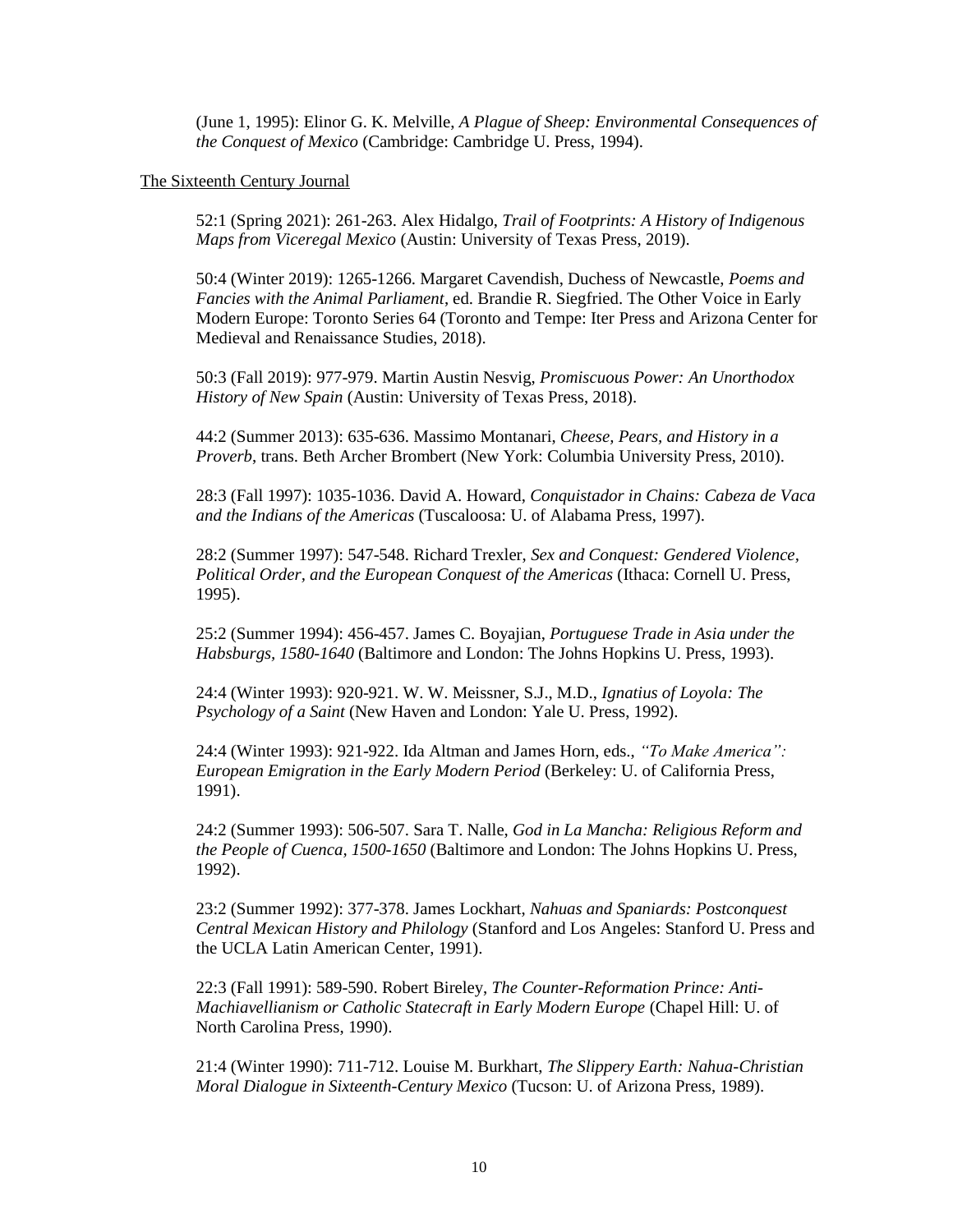(June 1, 1995): Elinor G. K. Melville, *A Plague of Sheep: Environmental Consequences of the Conquest of Mexico* (Cambridge: Cambridge U. Press, 1994).

### The Sixteenth Century Journal

52:1 (Spring 2021): 261-263. Alex Hidalgo, *Trail of Footprints: A History of Indigenous Maps from Viceregal Mexico* (Austin: University of Texas Press, 2019).

50:4 (Winter 2019): 1265-1266. Margaret Cavendish, Duchess of Newcastle, *Poems and Fancies with the Animal Parliament*, ed. Brandie R. Siegfried. The Other Voice in Early Modern Europe: Toronto Series 64 (Toronto and Tempe: Iter Press and Arizona Center for Medieval and Renaissance Studies, 2018).

50:3 (Fall 2019): 977-979. Martin Austin Nesvig, *Promiscuous Power: An Unorthodox History of New Spain* (Austin: University of Texas Press, 2018).

44:2 (Summer 2013): 635-636. Massimo Montanari, *Cheese, Pears, and History in a Proverb*, trans. Beth Archer Brombert (New York: Columbia University Press, 2010).

28:3 (Fall 1997): 1035-1036. David A. Howard, *Conquistador in Chains: Cabeza de Vaca and the Indians of the Americas* (Tuscaloosa: U. of Alabama Press, 1997).

28:2 (Summer 1997): 547-548. Richard Trexler, *Sex and Conquest: Gendered Violence, Political Order, and the European Conquest of the Americas* (Ithaca: Cornell U. Press, 1995).

25:2 (Summer 1994): 456-457. James C. Boyajian, *Portuguese Trade in Asia under the Habsburgs, 1580-1640* (Baltimore and London: The Johns Hopkins U. Press, 1993).

24:4 (Winter 1993): 920-921. W. W. Meissner, S.J., M.D., *Ignatius of Loyola: The Psychology of a Saint* (New Haven and London: Yale U. Press, 1992).

24:4 (Winter 1993): 921-922. Ida Altman and James Horn, eds., *"To Make America": European Emigration in the Early Modern Period* (Berkeley: U. of California Press, 1991).

24:2 (Summer 1993): 506-507. Sara T. Nalle, *God in La Mancha: Religious Reform and the People of Cuenca, 1500-1650* (Baltimore and London: The Johns Hopkins U. Press, 1992).

23:2 (Summer 1992): 377-378. James Lockhart, *Nahuas and Spaniards: Postconquest Central Mexican History and Philology* (Stanford and Los Angeles: Stanford U. Press and the UCLA Latin American Center, 1991).

22:3 (Fall 1991): 589-590. Robert Bireley, *The Counter-Reformation Prince: Anti-Machiavellianism or Catholic Statecraft in Early Modern Europe* (Chapel Hill: U. of North Carolina Press, 1990).

21:4 (Winter 1990): 711-712. Louise M. Burkhart, *The Slippery Earth: Nahua-Christian Moral Dialogue in Sixteenth-Century Mexico* (Tucson: U. of Arizona Press, 1989).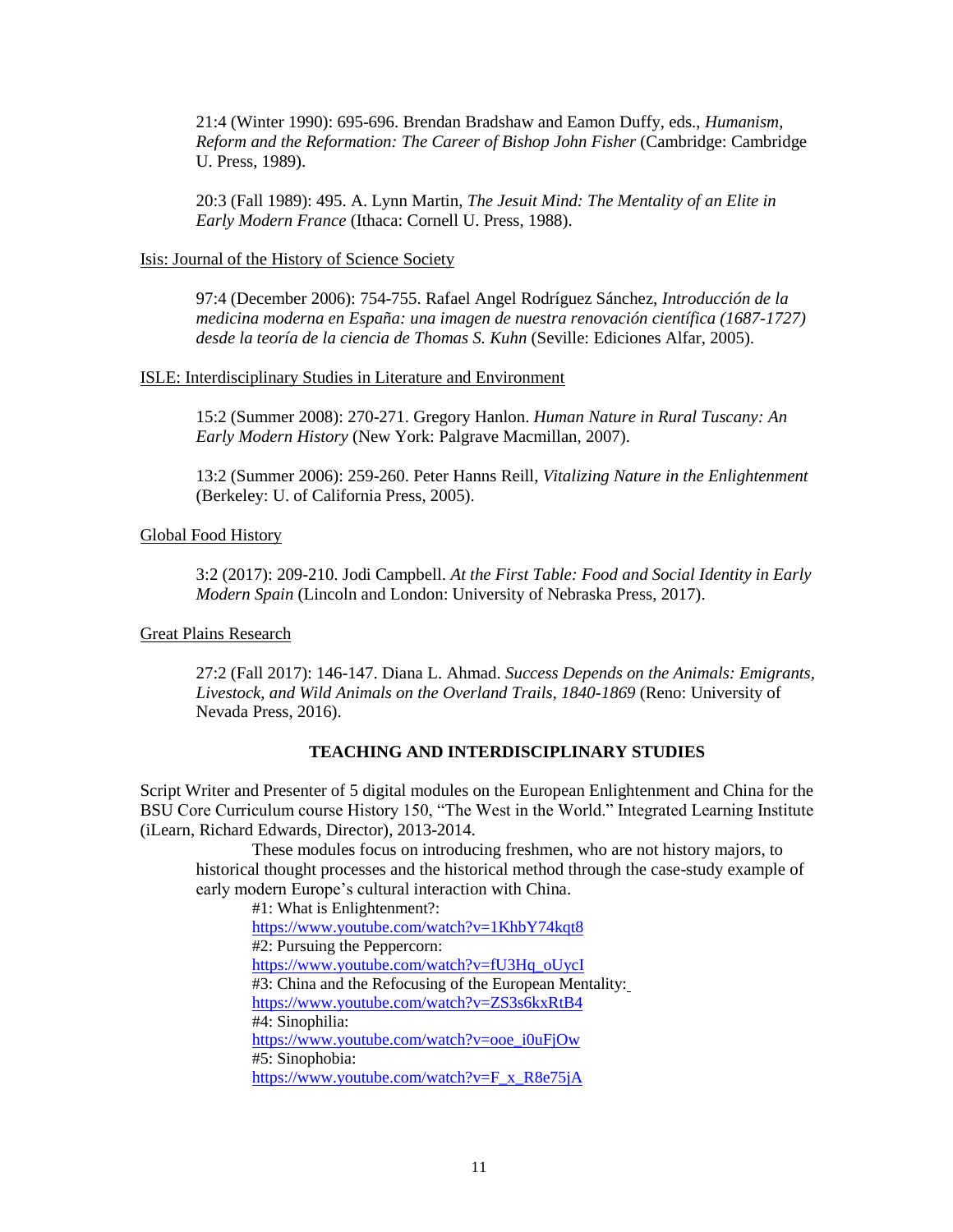21:4 (Winter 1990): 695-696. Brendan Bradshaw and Eamon Duffy, eds., *Humanism, Reform and the Reformation: The Career of Bishop John Fisher* (Cambridge: Cambridge U. Press, 1989).

20:3 (Fall 1989): 495. A. Lynn Martin, *The Jesuit Mind: The Mentality of an Elite in Early Modern France* (Ithaca: Cornell U. Press, 1988).

### Isis: Journal of the History of Science Society

97:4 (December 2006): 754-755. Rafael Angel Rodríguez Sánchez, *Introducción de la medicina moderna en España: una imagen de nuestra renovación científica (1687-1727) desde la teoría de la ciencia de Thomas S. Kuhn* (Seville: Ediciones Alfar, 2005).

### ISLE: Interdisciplinary Studies in Literature and Environment

15:2 (Summer 2008): 270-271. Gregory Hanlon. *Human Nature in Rural Tuscany: An Early Modern History* (New York: Palgrave Macmillan, 2007).

13:2 (Summer 2006): 259-260. Peter Hanns Reill, *Vitalizing Nature in the Enlightenment* (Berkeley: U. of California Press, 2005).

## Global Food History

3:2 (2017): 209-210. Jodi Campbell. *At the First Table: Food and Social Identity in Early Modern Spain* (Lincoln and London: University of Nebraska Press, 2017).

## Great Plains Research

27:2 (Fall 2017): 146-147. Diana L. Ahmad. *Success Depends on the Animals: Emigrants, Livestock, and Wild Animals on the Overland Trails, 1840-1869* (Reno: University of Nevada Press, 2016).

## **TEACHING AND INTERDISCIPLINARY STUDIES**

Script Writer and Presenter of 5 digital modules on the European Enlightenment and China for the BSU Core Curriculum course History 150, "The West in the World." Integrated Learning Institute (iLearn, Richard Edwards, Director), 2013-2014.

These modules focus on introducing freshmen, who are not history majors, to historical thought processes and the historical method through the case-study example of early modern Europe's cultural interaction with China.

#1: What is Enlightenment?: <https://www.youtube.com/watch?v=1KhbY74kqt8> #2: Pursuing the Peppercorn: [https://www.youtube.com/watch?v=fU3Hq\\_oUycI](https://www.youtube.com/watch?v=fU3Hq_oUycI) #3: China and the Refocusing of the European Mentality: <https://www.youtube.com/watch?v=ZS3s6kxRtB4> #4: Sinophilia: [https://www.youtube.com/watch?v=ooe\\_i0uFjOw](https://www.youtube.com/watch?v=ooe_i0uFjOw) #5: Sinophobia: [https://www.youtube.com/watch?v=F\\_x\\_R8e75jA](https://www.youtube.com/watch?v=F_x_R8e75jA)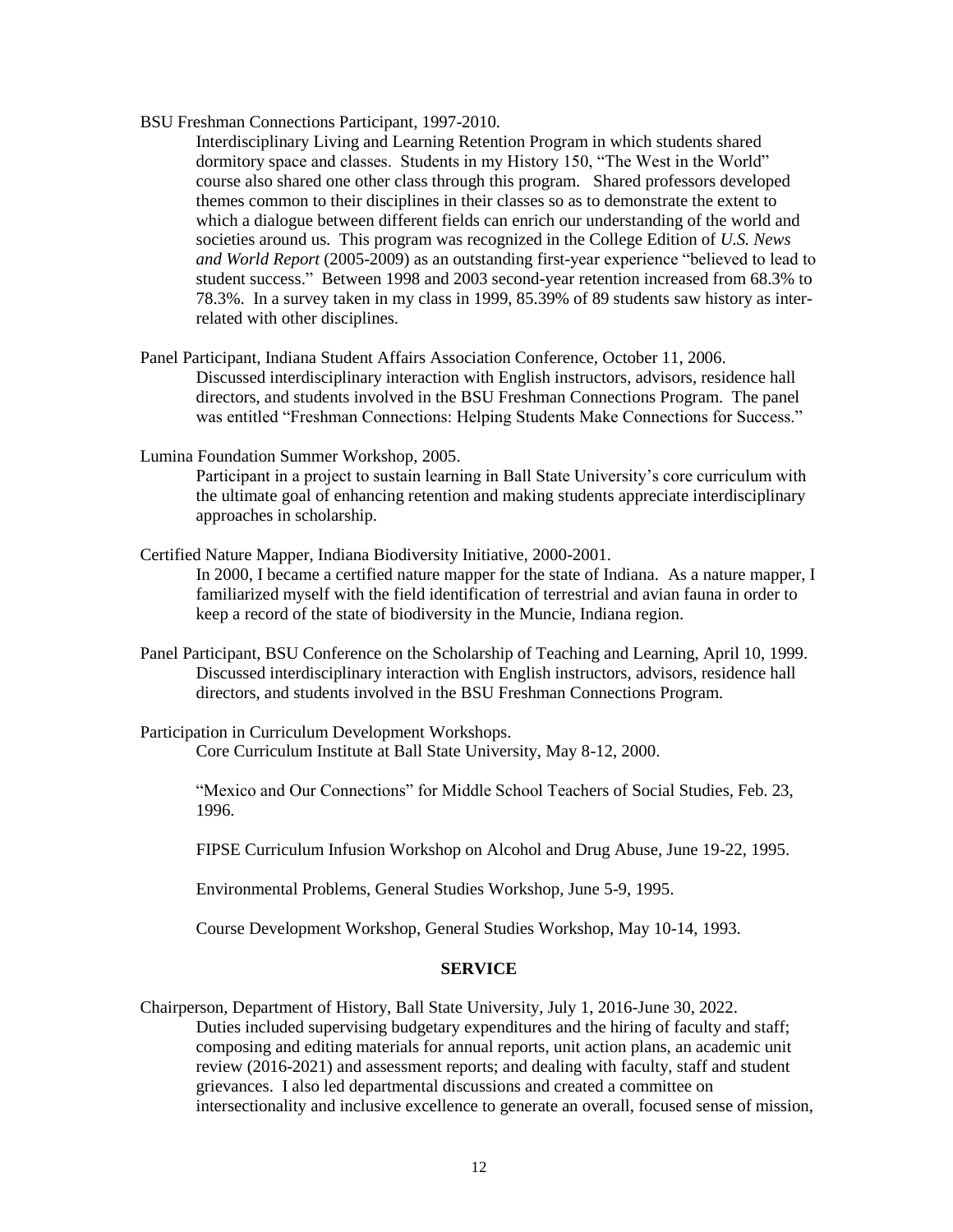BSU Freshman Connections Participant, 1997-2010.

Interdisciplinary Living and Learning Retention Program in which students shared dormitory space and classes. Students in my History 150, "The West in the World" course also shared one other class through this program. Shared professors developed themes common to their disciplines in their classes so as to demonstrate the extent to which a dialogue between different fields can enrich our understanding of the world and societies around us. This program was recognized in the College Edition of *U.S. News and World Report* (2005-2009) as an outstanding first-year experience "believed to lead to student success." Between 1998 and 2003 second-year retention increased from 68.3% to 78.3%. In a survey taken in my class in 1999, 85.39% of 89 students saw history as interrelated with other disciplines.

- Panel Participant, Indiana Student Affairs Association Conference, October 11, 2006. Discussed interdisciplinary interaction with English instructors, advisors, residence hall directors, and students involved in the BSU Freshman Connections Program. The panel was entitled "Freshman Connections: Helping Students Make Connections for Success."
- Lumina Foundation Summer Workshop, 2005.

Participant in a project to sustain learning in Ball State University's core curriculum with the ultimate goal of enhancing retention and making students appreciate interdisciplinary approaches in scholarship.

Certified Nature Mapper, Indiana Biodiversity Initiative, 2000-2001.

In 2000, I became a certified nature mapper for the state of Indiana. As a nature mapper, I familiarized myself with the field identification of terrestrial and avian fauna in order to keep a record of the state of biodiversity in the Muncie, Indiana region.

- Panel Participant, BSU Conference on the Scholarship of Teaching and Learning, April 10, 1999. Discussed interdisciplinary interaction with English instructors, advisors, residence hall directors, and students involved in the BSU Freshman Connections Program.
- Participation in Curriculum Development Workshops. Core Curriculum Institute at Ball State University, May 8-12, 2000.

"Mexico and Our Connections" for Middle School Teachers of Social Studies, Feb. 23, 1996.

FIPSE Curriculum Infusion Workshop on Alcohol and Drug Abuse, June 19-22, 1995.

Environmental Problems, General Studies Workshop, June 5-9, 1995.

Course Development Workshop, General Studies Workshop, May 10-14, 1993.

### **SERVICE**

Chairperson, Department of History, Ball State University, July 1, 2016-June 30, 2022. Duties included supervising budgetary expenditures and the hiring of faculty and staff; composing and editing materials for annual reports, unit action plans, an academic unit review (2016-2021) and assessment reports; and dealing with faculty, staff and student grievances. I also led departmental discussions and created a committee on intersectionality and inclusive excellence to generate an overall, focused sense of mission,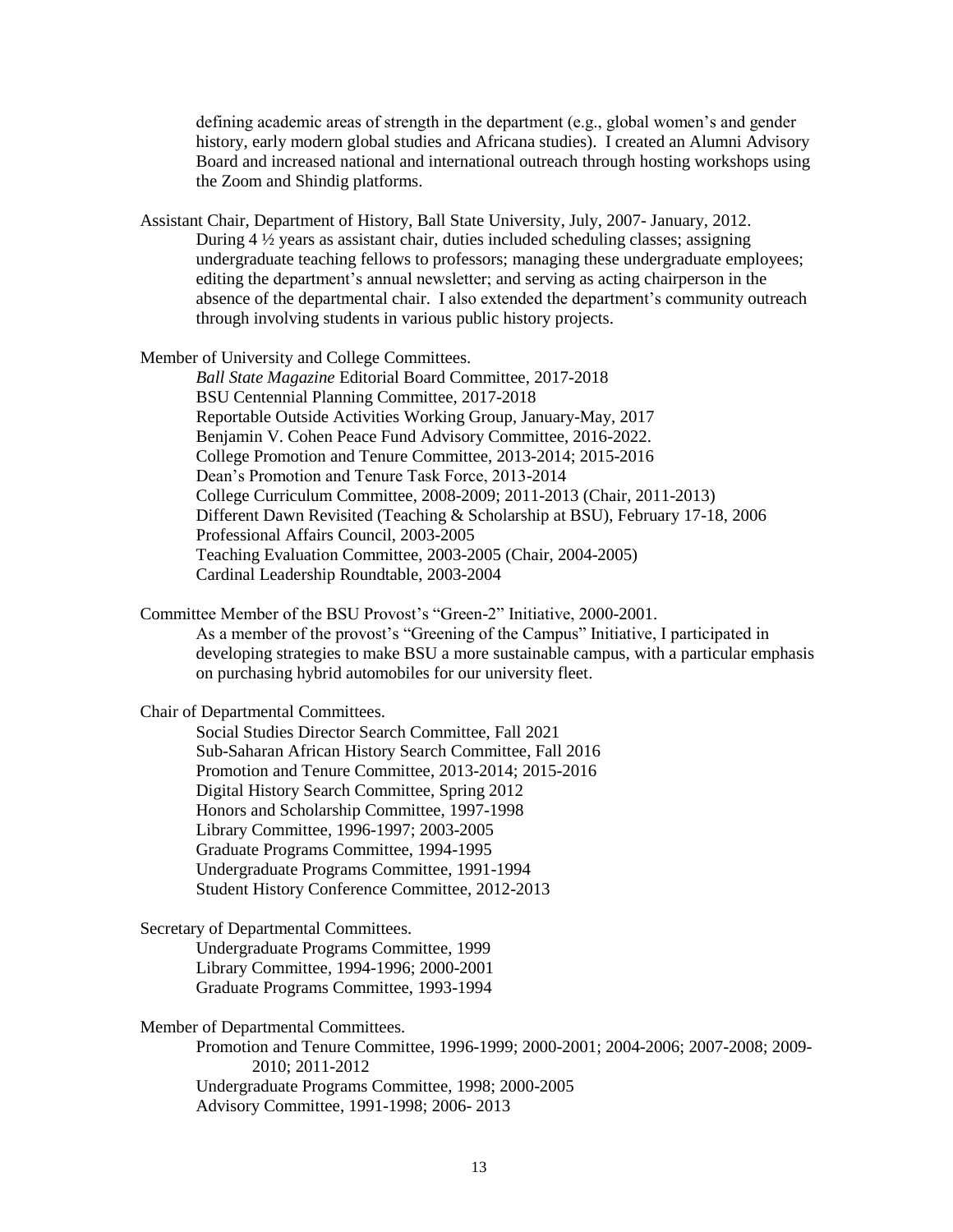defining academic areas of strength in the department (e.g., global women's and gender history, early modern global studies and Africana studies). I created an Alumni Advisory Board and increased national and international outreach through hosting workshops using the Zoom and Shindig platforms.

Assistant Chair, Department of History, Ball State University, July, 2007- January, 2012. During 4 ½ years as assistant chair, duties included scheduling classes; assigning undergraduate teaching fellows to professors; managing these undergraduate employees; editing the department's annual newsletter; and serving as acting chairperson in the absence of the departmental chair. I also extended the department's community outreach through involving students in various public history projects.

Member of University and College Committees.

*Ball State Magazine* Editorial Board Committee, 2017-2018 BSU Centennial Planning Committee, 2017-2018 Reportable Outside Activities Working Group, January-May, 2017 Benjamin V. Cohen Peace Fund Advisory Committee, 2016-2022. College Promotion and Tenure Committee, 2013-2014; 2015-2016 Dean's Promotion and Tenure Task Force, 2013-2014 College Curriculum Committee, 2008-2009; 2011-2013 (Chair, 2011-2013) Different Dawn Revisited (Teaching & Scholarship at BSU), February 17-18, 2006 Professional Affairs Council, 2003-2005 Teaching Evaluation Committee, 2003-2005 (Chair, 2004-2005) Cardinal Leadership Roundtable, 2003-2004

Committee Member of the BSU Provost's "Green-2" Initiative, 2000-2001. As a member of the provost's "Greening of the Campus" Initiative, I participated in developing strategies to make BSU a more sustainable campus, with a particular emphasis on purchasing hybrid automobiles for our university fleet.

Chair of Departmental Committees.

Social Studies Director Search Committee, Fall 2021 Sub-Saharan African History Search Committee, Fall 2016 Promotion and Tenure Committee, 2013-2014; 2015-2016 Digital History Search Committee, Spring 2012 Honors and Scholarship Committee, 1997-1998 Library Committee, 1996-1997; 2003-2005 Graduate Programs Committee, 1994-1995 Undergraduate Programs Committee, 1991-1994 Student History Conference Committee, 2012-2013

Secretary of Departmental Committees.

Undergraduate Programs Committee, 1999 Library Committee, 1994-1996; 2000-2001 Graduate Programs Committee, 1993-1994

Member of Departmental Committees.

Promotion and Tenure Committee, 1996-1999; 2000-2001; 2004-2006; 2007-2008; 2009- 2010; 2011-2012 Undergraduate Programs Committee, 1998; 2000-2005 Advisory Committee, 1991-1998; 2006- 2013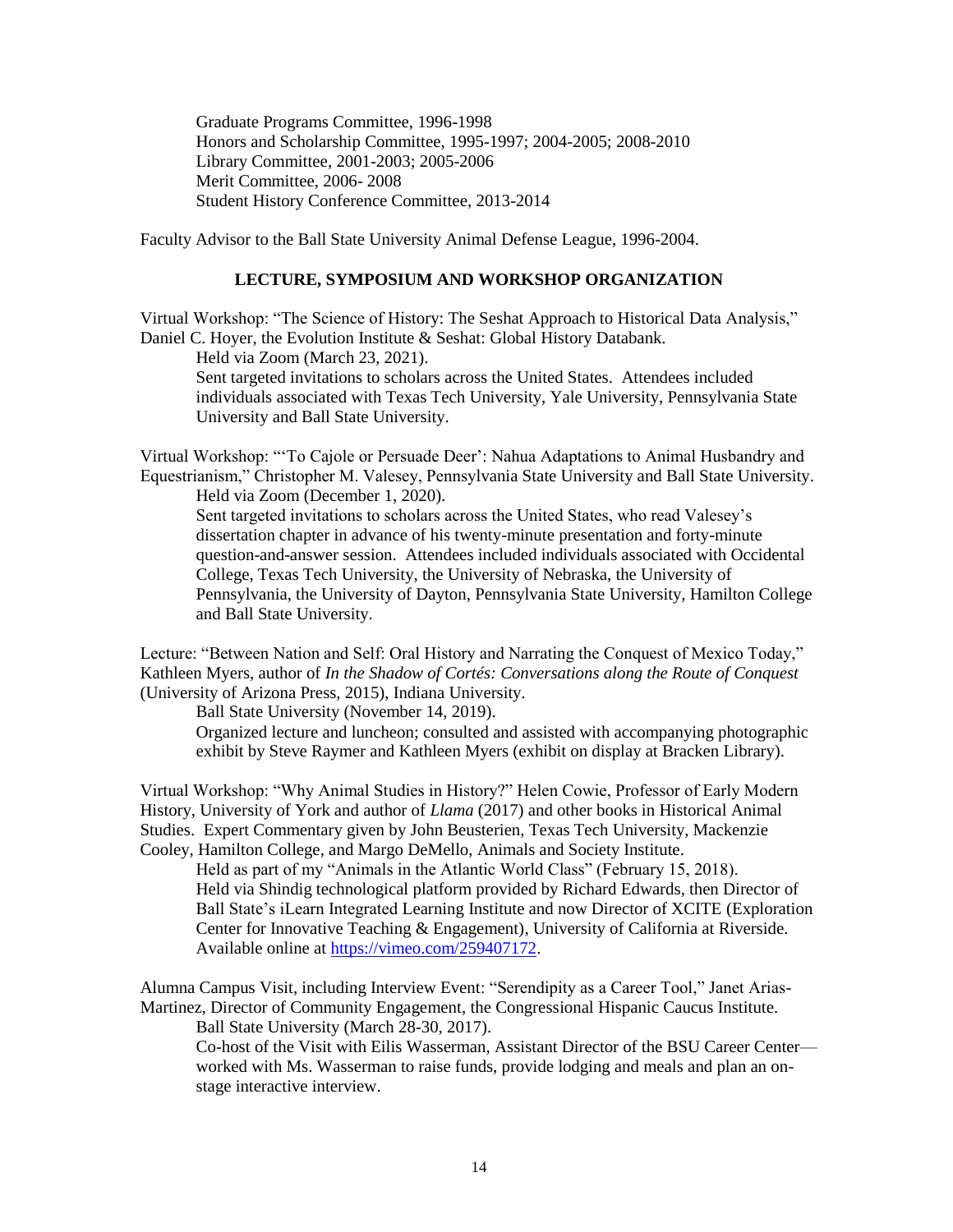Graduate Programs Committee, 1996-1998 Honors and Scholarship Committee, 1995-1997; 2004-2005; 2008-2010 Library Committee, 2001-2003; 2005-2006 Merit Committee, 2006- 2008 Student History Conference Committee, 2013-2014

Faculty Advisor to the Ball State University Animal Defense League, 1996-2004.

### **LECTURE, SYMPOSIUM AND WORKSHOP ORGANIZATION**

Virtual Workshop: "The Science of History: The Seshat Approach to Historical Data Analysis," Daniel C. Hoyer, the Evolution Institute & Seshat: Global History Databank.

Held via Zoom (March 23, 2021).

Sent targeted invitations to scholars across the United States. Attendees included individuals associated with Texas Tech University, Yale University, Pennsylvania State University and Ball State University.

Virtual Workshop: "'To Cajole or Persuade Deer': Nahua Adaptations to Animal Husbandry and Equestrianism," Christopher M. Valesey, Pennsylvania State University and Ball State University. Held via Zoom (December 1, 2020).

Sent targeted invitations to scholars across the United States, who read Valesey's dissertation chapter in advance of his twenty-minute presentation and forty-minute question-and-answer session. Attendees included individuals associated with Occidental College, Texas Tech University, the University of Nebraska, the University of Pennsylvania, the University of Dayton, Pennsylvania State University, Hamilton College and Ball State University.

Lecture: "Between Nation and Self: Oral History and Narrating the Conquest of Mexico Today," Kathleen Myers, author of *In the Shadow of Cortés: Conversations along the Route of Conquest*  (University of Arizona Press, 2015), Indiana University.

Ball State University (November 14, 2019).

Organized lecture and luncheon; consulted and assisted with accompanying photographic exhibit by Steve Raymer and Kathleen Myers (exhibit on display at Bracken Library).

Virtual Workshop: "Why Animal Studies in History?" Helen Cowie, Professor of Early Modern History, University of York and author of *Llama* (2017) and other books in Historical Animal Studies. Expert Commentary given by John Beusterien, Texas Tech University, Mackenzie Cooley, Hamilton College, and Margo DeMello, Animals and Society Institute.

Held as part of my "Animals in the Atlantic World Class" (February 15, 2018). Held via Shindig technological platform provided by Richard Edwards, then Director of Ball State's iLearn Integrated Learning Institute and now Director of XCITE (Exploration Center for Innovative Teaching & Engagement), University of California at Riverside. Available online at [https://vimeo.com/259407172.](https://vimeo.com/259407172)

Alumna Campus Visit, including Interview Event: "Serendipity as a Career Tool," Janet Arias-Martinez, Director of Community Engagement, the Congressional Hispanic Caucus Institute.

Ball State University (March 28-30, 2017).

Co-host of the Visit with Eilis Wasserman, Assistant Director of the BSU Career Center worked with Ms. Wasserman to raise funds, provide lodging and meals and plan an onstage interactive interview.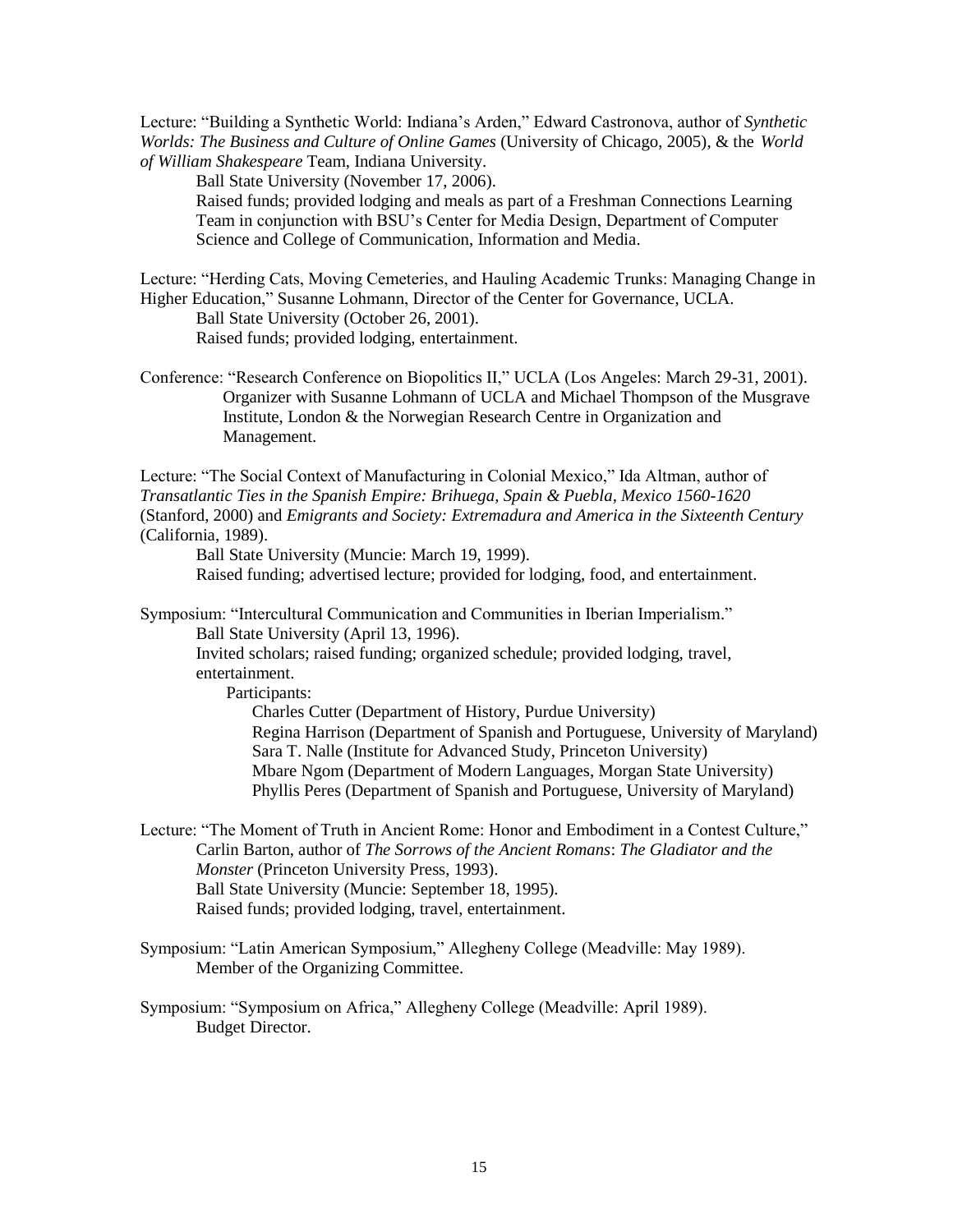Lecture: "Building a Synthetic World: Indiana's Arden," Edward Castronova, author of *Synthetic Worlds: The Business and Culture of Online Games* (University of Chicago, 2005), & the *World of William Shakespeare* Team, Indiana University.

Ball State University (November 17, 2006).

Raised funds; provided lodging and meals as part of a Freshman Connections Learning Team in conjunction with BSU's Center for Media Design, Department of Computer Science and College of Communication, Information and Media.

Lecture: "Herding Cats, Moving Cemeteries, and Hauling Academic Trunks: Managing Change in Higher Education," Susanne Lohmann, Director of the Center for Governance, UCLA. Ball State University (October 26, 2001).

Raised funds; provided lodging, entertainment.

Conference: "Research Conference on Biopolitics II," UCLA (Los Angeles: March 29-31, 2001). Organizer with Susanne Lohmann of UCLA and Michael Thompson of the Musgrave Institute, London & the Norwegian Research Centre in Organization and Management.

Lecture: "The Social Context of Manufacturing in Colonial Mexico," Ida Altman, author of *Transatlantic Ties in the Spanish Empire: Brihuega, Spain & Puebla, Mexico 1560-1620* (Stanford, 2000) and *Emigrants and Society: Extremadura and America in the Sixteenth Century* (California, 1989).

Ball State University (Muncie: March 19, 1999).

Raised funding; advertised lecture; provided for lodging, food, and entertainment.

Symposium: "Intercultural Communication and Communities in Iberian Imperialism." Ball State University (April 13, 1996).

Invited scholars; raised funding; organized schedule; provided lodging, travel, entertainment.

Participants:

Charles Cutter (Department of History, Purdue University) Regina Harrison (Department of Spanish and Portuguese, University of Maryland) Sara T. Nalle (Institute for Advanced Study, Princeton University) Mbare Ngom (Department of Modern Languages, Morgan State University) Phyllis Peres (Department of Spanish and Portuguese, University of Maryland)

Lecture: "The Moment of Truth in Ancient Rome: Honor and Embodiment in a Contest Culture," Carlin Barton, author of *The Sorrows of the Ancient Romans*: *The Gladiator and the Monster* (Princeton University Press, 1993). Ball State University (Muncie: September 18, 1995). Raised funds; provided lodging, travel, entertainment.

- Symposium: "Latin American Symposium," Allegheny College (Meadville: May 1989). Member of the Organizing Committee.
- Symposium: "Symposium on Africa," Allegheny College (Meadville: April 1989). Budget Director.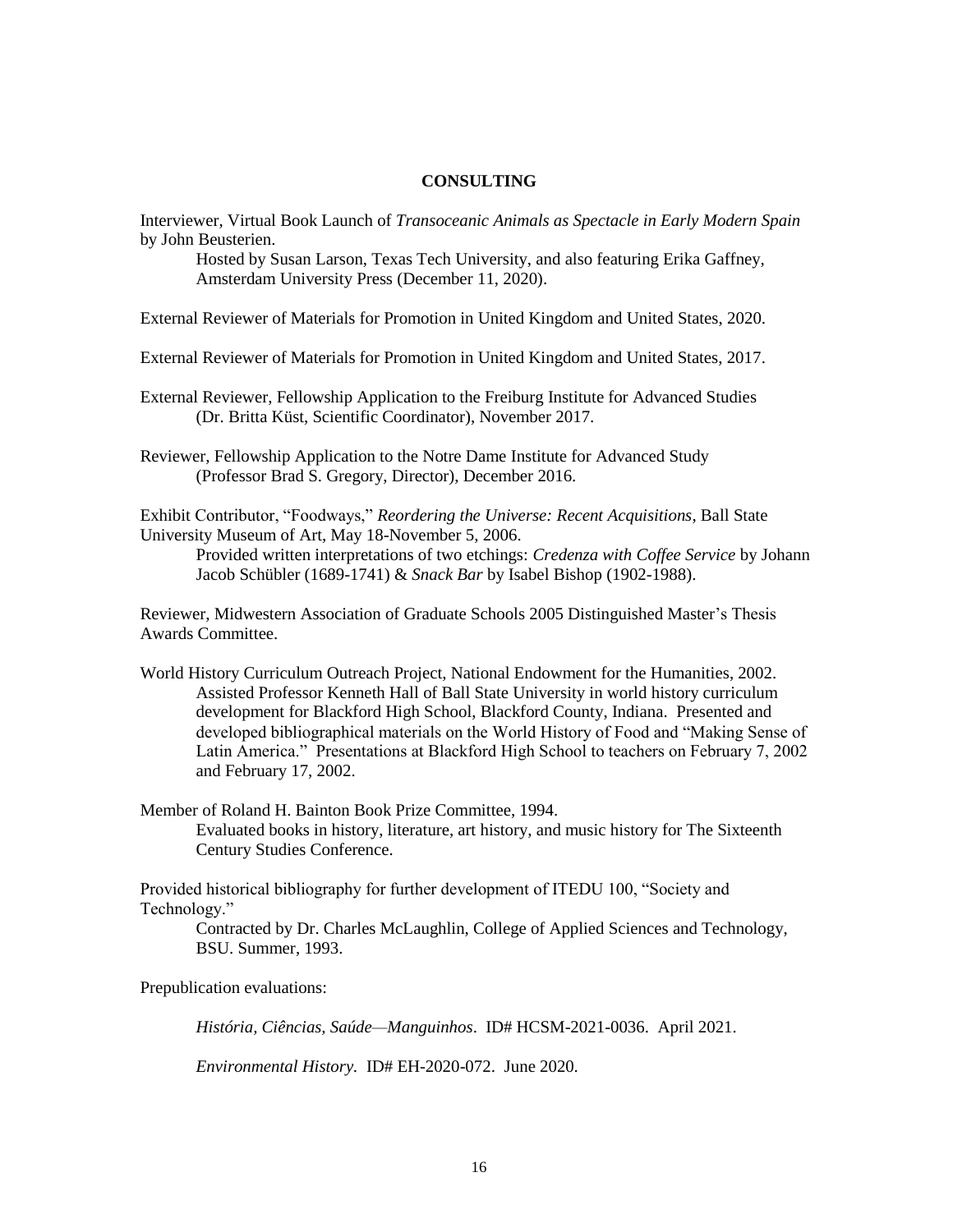### **CONSULTING**

Interviewer, Virtual Book Launch of *Transoceanic Animals as Spectacle in Early Modern Spain* by John Beusterien.

Hosted by Susan Larson, Texas Tech University, and also featuring Erika Gaffney, Amsterdam University Press (December 11, 2020).

External Reviewer of Materials for Promotion in United Kingdom and United States, 2020.

External Reviewer of Materials for Promotion in United Kingdom and United States, 2017.

External Reviewer, Fellowship Application to the Freiburg Institute for Advanced Studies (Dr. Britta Küst, Scientific Coordinator), November 2017.

Reviewer, Fellowship Application to the Notre Dame Institute for Advanced Study (Professor Brad S. Gregory, Director), December 2016.

Exhibit Contributor, "Foodways," *Reordering the Universe: Recent Acquisitions*, Ball State University Museum of Art, May 18-November 5, 2006.

Provided written interpretations of two etchings: *Credenza with Coffee Service* by Johann Jacob Schübler (1689-1741) & *Snack Bar* by Isabel Bishop (1902-1988).

Reviewer, Midwestern Association of Graduate Schools 2005 Distinguished Master's Thesis Awards Committee.

World History Curriculum Outreach Project, National Endowment for the Humanities, 2002. Assisted Professor Kenneth Hall of Ball State University in world history curriculum development for Blackford High School, Blackford County, Indiana. Presented and developed bibliographical materials on the World History of Food and "Making Sense of Latin America." Presentations at Blackford High School to teachers on February 7, 2002 and February 17, 2002.

Member of Roland H. Bainton Book Prize Committee, 1994. Evaluated books in history, literature, art history, and music history for The Sixteenth Century Studies Conference.

Provided historical bibliography for further development of ITEDU 100, "Society and Technology."

Contracted by Dr. Charles McLaughlin, College of Applied Sciences and Technology, BSU. Summer, 1993.

Prepublication evaluations:

*História, Ciências, Saúde—Manguinhos*. ID# HCSM-2021-0036. April 2021.

*Environmental History.* ID# EH-2020-072. June 2020.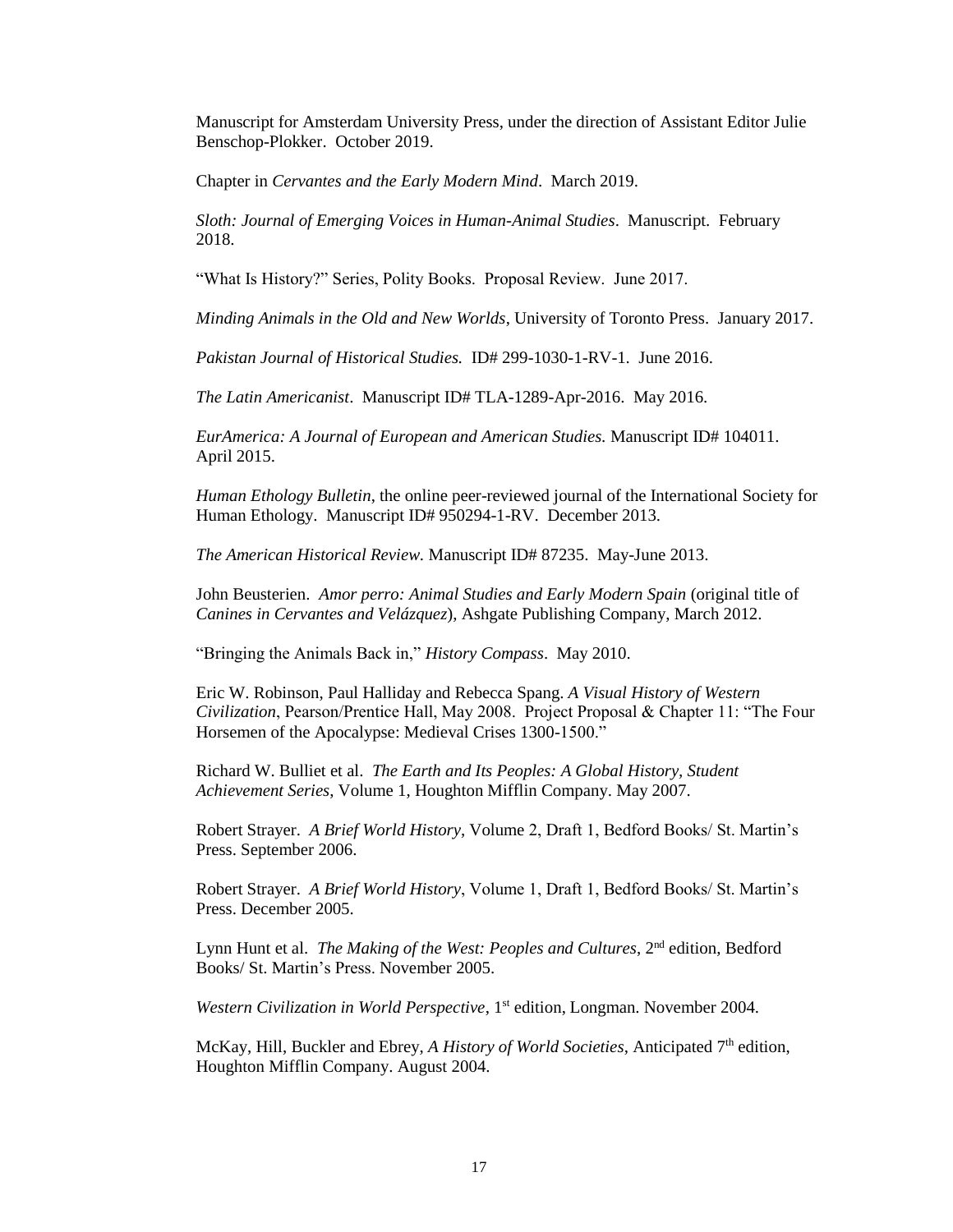Manuscript for Amsterdam University Press, under the direction of Assistant Editor Julie Benschop-Plokker. October 2019.

Chapter in *Cervantes and the Early Modern Mind*. March 2019.

*Sloth: Journal of Emerging Voices in Human-Animal Studies*. Manuscript. February 2018.

"What Is History?" Series, Polity Books. Proposal Review. June 2017.

*Minding Animals in the Old and New Worlds*, University of Toronto Press. January 2017.

*Pakistan Journal of Historical Studies.* ID# 299-1030-1-RV-1. June 2016.

*The Latin Americanist*. Manuscript ID# TLA-1289-Apr-2016. May 2016.

*EurAmerica: A Journal of European and American Studies.* Manuscript ID# 104011. April 2015.

*Human Ethology Bulletin*, the online peer-reviewed journal of the International Society for Human Ethology. Manuscript ID# 950294-1-RV. December 2013.

*The American Historical Review.* Manuscript ID# 87235. May-June 2013.

John Beusterien. *Amor perro: Animal Studies and Early Modern Spain* (original title of *Canines in Cervantes and Velázquez*), Ashgate Publishing Company, March 2012.

"Bringing the Animals Back in," *History Compass*. May 2010.

Eric W. Robinson, Paul Halliday and Rebecca Spang. *A Visual History of Western Civilization*, Pearson/Prentice Hall, May 2008. Project Proposal & Chapter 11: "The Four Horsemen of the Apocalypse: Medieval Crises 1300-1500."

Richard W. Bulliet et al. *The Earth and Its Peoples: A Global History, Student Achievement Series*, Volume 1, Houghton Mifflin Company. May 2007.

Robert Strayer. *A Brief World History*, Volume 2, Draft 1, Bedford Books/ St. Martin's Press. September 2006.

Robert Strayer. *A Brief World History*, Volume 1, Draft 1, Bedford Books/ St. Martin's Press. December 2005.

Lynn Hunt et al. *The Making of the West: Peoples and Cultures*, 2nd edition, Bedford Books/ St. Martin's Press. November 2005.

*Western Civilization in World Perspective*, 1<sup>st</sup> edition, Longman. November 2004.

McKay, Hill, Buckler and Ebrey, *A History of World Societies*, Anticipated 7<sup>th</sup> edition, Houghton Mifflin Company. August 2004.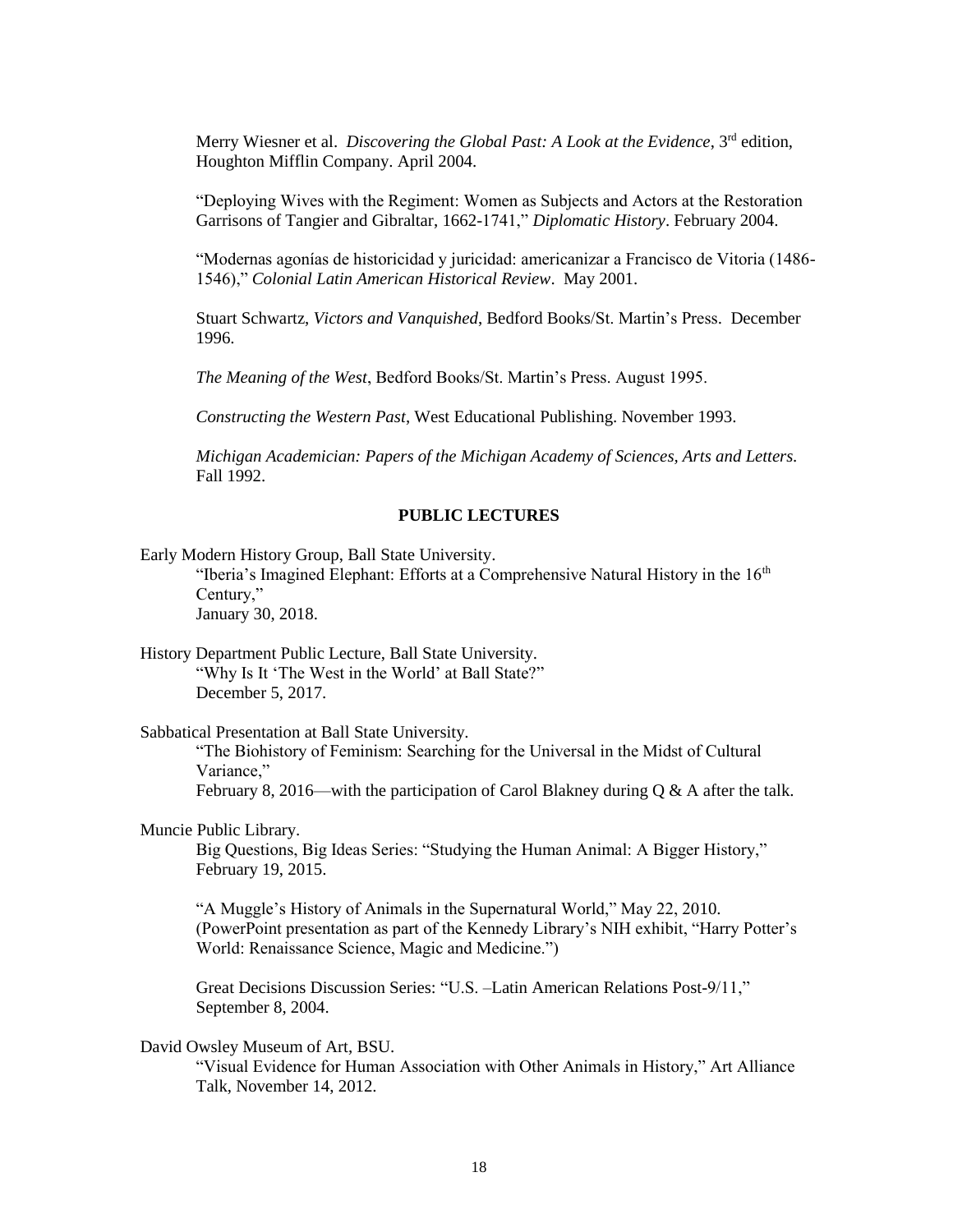Merry Wiesner et al. *Discovering the Global Past: A Look at the Evidence*, 3rd edition, Houghton Mifflin Company. April 2004.

"Deploying Wives with the Regiment: Women as Subjects and Actors at the Restoration Garrisons of Tangier and Gibraltar, 1662-1741," *Diplomatic History*. February 2004.

"Modernas agonías de historicidad y juricidad: americanizar a Francisco de Vitoria (1486- 1546)," *Colonial Latin American Historical Review*. May 2001.

Stuart Schwartz, *Victors and Vanquished*, Bedford Books/St. Martin's Press. December 1996.

*The Meaning of the West*, Bedford Books/St. Martin's Press. August 1995.

*Constructing the Western Past*, West Educational Publishing. November 1993.

*Michigan Academician: Papers of the Michigan Academy of Sciences, Arts and Letters.*  Fall 1992.

## **PUBLIC LECTURES**

Early Modern History Group, Ball State University.

"Iberia's Imagined Elephant: Efforts at a Comprehensive Natural History in the  $16<sup>th</sup>$ Century," January 30, 2018.

History Department Public Lecture, Ball State University. "Why Is It 'The West in the World' at Ball State?" December 5, 2017.

Sabbatical Presentation at Ball State University.

"The Biohistory of Feminism: Searching for the Universal in the Midst of Cultural Variance,"

February 8, 2016—with the participation of Carol Blakney during  $\alpha \& A$  after the talk.

# Muncie Public Library.

Big Questions, Big Ideas Series: "Studying the Human Animal: A Bigger History," February 19, 2015.

"A Muggle's History of Animals in the Supernatural World," May 22, 2010. (PowerPoint presentation as part of the Kennedy Library's NIH exhibit, "Harry Potter's World: Renaissance Science, Magic and Medicine.")

Great Decisions Discussion Series: "U.S. –Latin American Relations Post-9/11," September 8, 2004.

#### David Owsley Museum of Art, BSU.

"Visual Evidence for Human Association with Other Animals in History," Art Alliance Talk, November 14, 2012.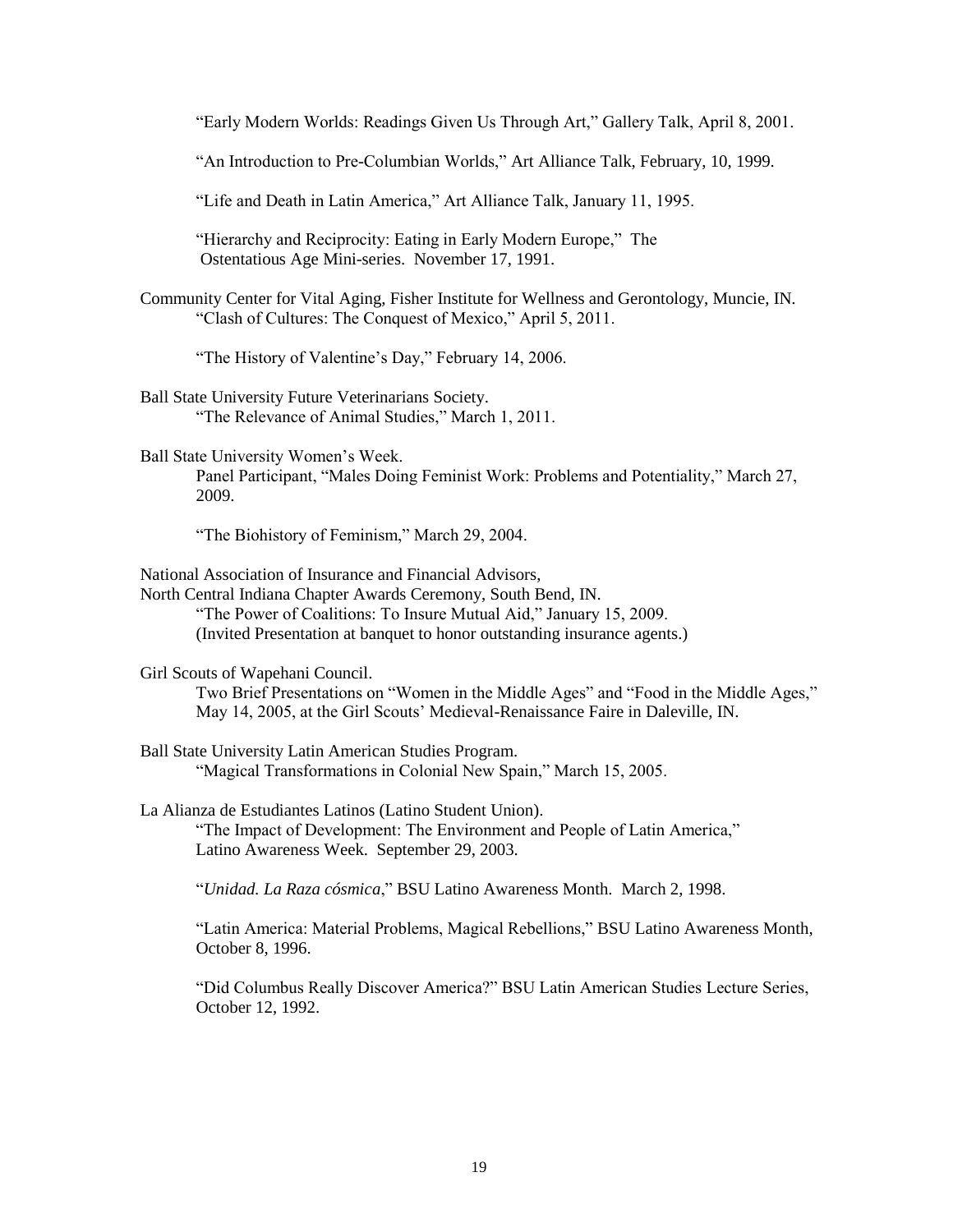"Early Modern Worlds: Readings Given Us Through Art," Gallery Talk, April 8, 2001.

"An Introduction to Pre-Columbian Worlds," Art Alliance Talk, February, 10, 1999.

"Life and Death in Latin America," Art Alliance Talk, January 11, 1995.

"Hierarchy and Reciprocity: Eating in Early Modern Europe," The Ostentatious Age Mini-series. November 17, 1991.

Community Center for Vital Aging, Fisher Institute for Wellness and Gerontology, Muncie, IN. "Clash of Cultures: The Conquest of Mexico," April 5, 2011.

"The History of Valentine's Day," February 14, 2006.

Ball State University Future Veterinarians Society. "The Relevance of Animal Studies," March 1, 2011.

Ball State University Women's Week. Panel Participant, "Males Doing Feminist Work: Problems and Potentiality," March 27, 2009.

"The Biohistory of Feminism," March 29, 2004.

National Association of Insurance and Financial Advisors,

North Central Indiana Chapter Awards Ceremony, South Bend, IN. "The Power of Coalitions: To Insure Mutual Aid," January 15, 2009. (Invited Presentation at banquet to honor outstanding insurance agents.)

Girl Scouts of Wapehani Council.

Two Brief Presentations on "Women in the Middle Ages" and "Food in the Middle Ages," May 14, 2005, at the Girl Scouts' Medieval-Renaissance Faire in Daleville, IN.

- Ball State University Latin American Studies Program. "Magical Transformations in Colonial New Spain," March 15, 2005.
- La Alianza de Estudiantes Latinos (Latino Student Union). "The Impact of Development: The Environment and People of Latin America," Latino Awareness Week. September 29, 2003.

"*Unidad. La Raza cósmica*," BSU Latino Awareness Month. March 2, 1998.

"Latin America: Material Problems, Magical Rebellions," BSU Latino Awareness Month, October 8, 1996.

"Did Columbus Really Discover America?" BSU Latin American Studies Lecture Series, October 12, 1992.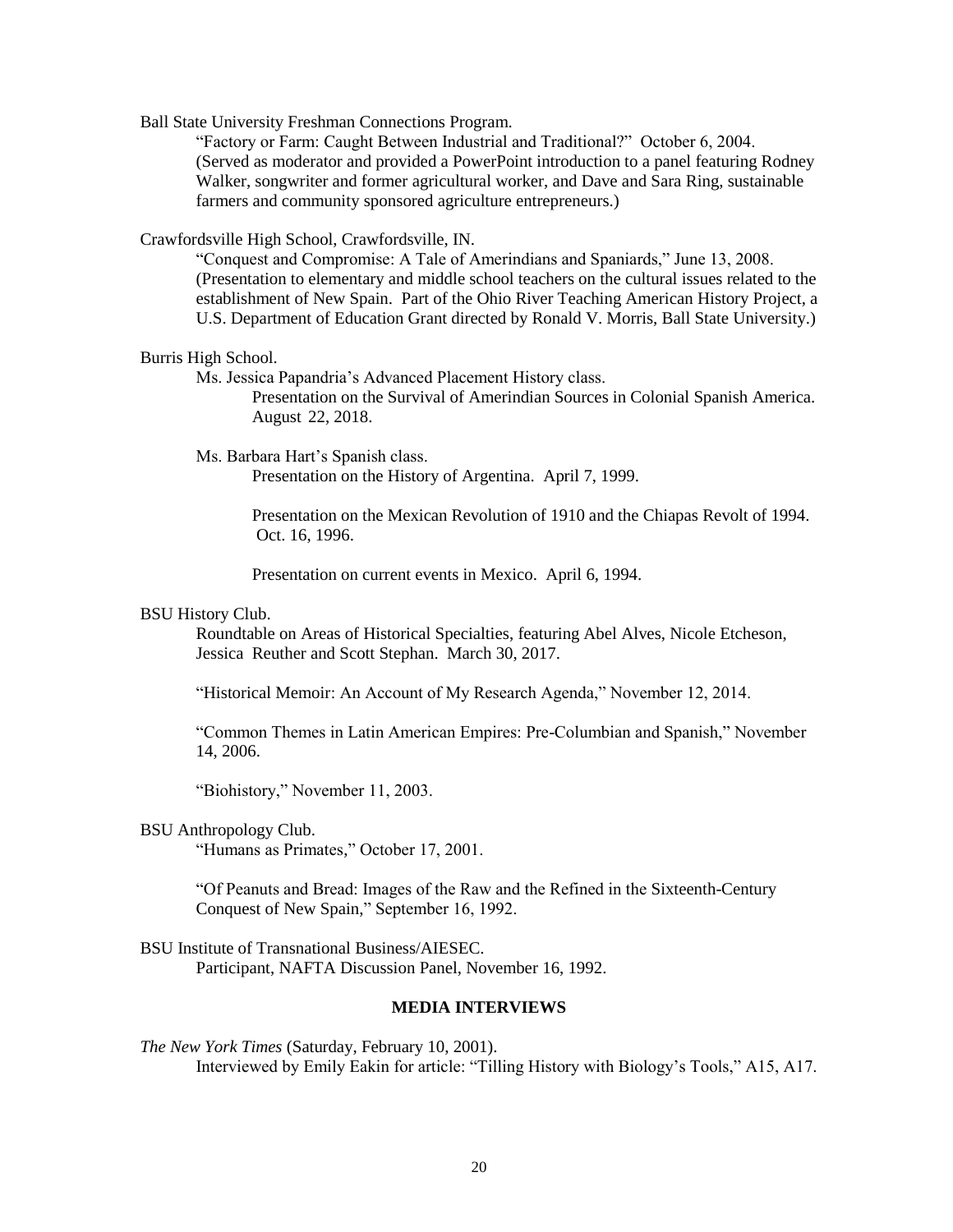Ball State University Freshman Connections Program.

"Factory or Farm: Caught Between Industrial and Traditional?" October 6, 2004. (Served as moderator and provided a PowerPoint introduction to a panel featuring Rodney Walker, songwriter and former agricultural worker, and Dave and Sara Ring, sustainable farmers and community sponsored agriculture entrepreneurs.)

Crawfordsville High School, Crawfordsville, IN.

"Conquest and Compromise: A Tale of Amerindians and Spaniards," June 13, 2008. (Presentation to elementary and middle school teachers on the cultural issues related to the establishment of New Spain. Part of the Ohio River Teaching American History Project, a U.S. Department of Education Grant directed by Ronald V. Morris, Ball State University.)

#### Burris High School.

Ms. Jessica Papandria's Advanced Placement History class.

Presentation on the Survival of Amerindian Sources in Colonial Spanish America. August 22, 2018.

Ms. Barbara Hart's Spanish class.

Presentation on the History of Argentina. April 7, 1999.

Presentation on the Mexican Revolution of 1910 and the Chiapas Revolt of 1994. Oct. 16, 1996.

Presentation on current events in Mexico. April 6, 1994.

### BSU History Club.

Roundtable on Areas of Historical Specialties, featuring Abel Alves, Nicole Etcheson, Jessica Reuther and Scott Stephan. March 30, 2017.

"Historical Memoir: An Account of My Research Agenda," November 12, 2014.

"Common Themes in Latin American Empires: Pre-Columbian and Spanish," November 14, 2006.

"Biohistory," November 11, 2003.

### BSU Anthropology Club.

"Humans as Primates," October 17, 2001.

"Of Peanuts and Bread: Images of the Raw and the Refined in the Sixteenth-Century Conquest of New Spain," September 16, 1992.

BSU Institute of Transnational Business/AIESEC. Participant, NAFTA Discussion Panel, November 16, 1992.

### **MEDIA INTERVIEWS**

*The New York Times* (Saturday, February 10, 2001). Interviewed by Emily Eakin for article: "Tilling History with Biology's Tools," A15, A17.